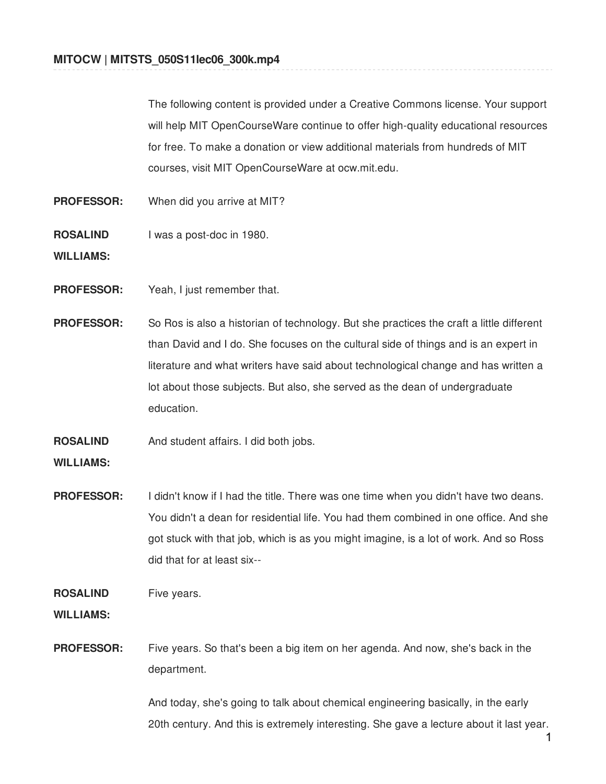The following content is provided under a Creative Commons license. Your support will help MIT OpenCourseWare continue to offer high-quality educational resources for free. To make a donation or view additional materials from hundreds of MIT courses, visit MIT OpenCourseWare at ocw.mit.edu.

- **PROFESSOR:** When did you arrive at MIT?
- **ROSALIND** I was a post-doc in 1980.

**WILLIAMS:**

- **PROFESSOR:** Yeah, I just remember that.
- **PROFESSOR:** So Ros is also a historian of technology. But she practices the craft a little different than David and I do. She focuses on the cultural side of things and is an expert in literature and what writers have said about technological change and has written a lot about those subjects. But also, she served as the dean of undergraduate education.
- **ROSALIND** And student affairs. I did both jobs.

# **WILLIAMS:**

**PROFESSOR:** I didn't know if I had the title. There was one time when you didn't have two deans. You didn't a dean for residential life. You had them combined in one office. And she got stuck with that job, which is as you might imagine, is a lot of work. And so Ross did that for at least six--

**ROSALIND** Five years.

**WILLIAMS:**

**PROFESSOR:** Five years. So that's been a big item on her agenda. And now, she's back in the department.

> And today, she's going to talk about chemical engineering basically, in the early 20th century. And this is extremely interesting. She gave a lecture about it last year.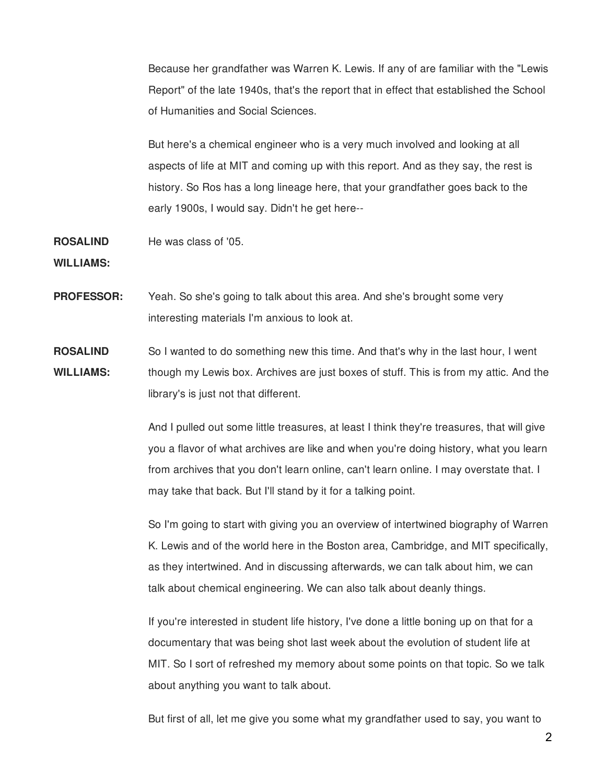Because her grandfather was Warren K. Lewis. If any of are familiar with the "Lewis Report" of the late 1940s, that's the report that in effect that established the School of Humanities and Social Sciences.

But here's a chemical engineer who is a very much involved and looking at all aspects of life at MIT and coming up with this report. And as they say, the rest is history. So Ros has a long lineage here, that your grandfather goes back to the early 1900s, I would say. Didn't he get here--

**ROSALIND** He was class of '05.

**WILLIAMS:**

- **PROFESSOR:** Yeah. So she's going to talk about this area. And she's brought some very interesting materials I'm anxious to look at.
- **ROSALIND WILLIAMS:** So I wanted to do something new this time. And that's why in the last hour, I went though my Lewis box. Archives are just boxes of stuff. This is from my attic. And the library's is just not that different.

And I pulled out some little treasures, at least I think they're treasures, that will give you a flavor of what archives are like and when you're doing history, what you learn from archives that you don't learn online, can't learn online. I may overstate that. I may take that back. But I'll stand by it for a talking point.

So I'm going to start with giving you an overview of intertwined biography of Warren K. Lewis and of the world here in the Boston area, Cambridge, and MIT specifically, as they intertwined. And in discussing afterwards, we can talk about him, we can talk about chemical engineering. We can also talk about deanly things.

If you're interested in student life history, I've done a little boning up on that for a documentary that was being shot last week about the evolution of student life at MIT. So I sort of refreshed my memory about some points on that topic. So we talk about anything you want to talk about.

But first of all, let me give you some what my grandfather used to say, you want to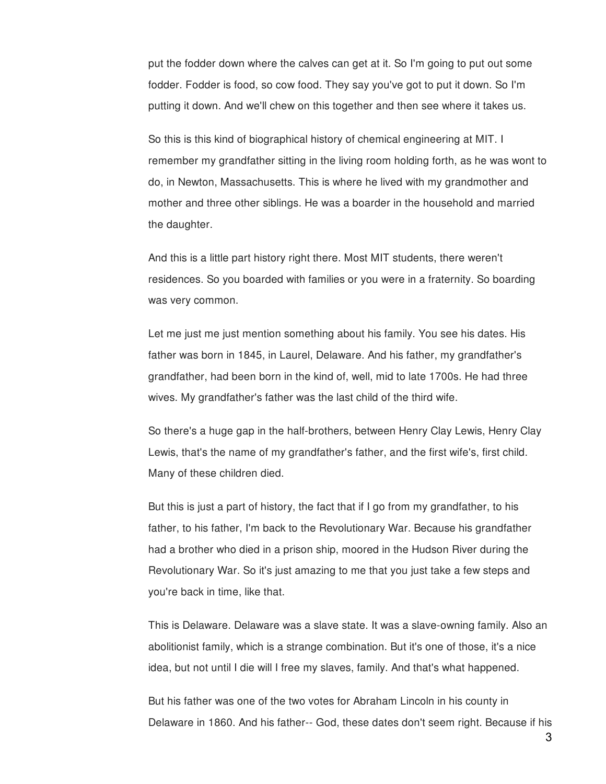put the fodder down where the calves can get at it. So I'm going to put out some fodder. Fodder is food, so cow food. They say you've got to put it down. So I'm putting it down. And we'll chew on this together and then see where it takes us.

So this is this kind of biographical history of chemical engineering at MIT. I remember my grandfather sitting in the living room holding forth, as he was wont to do, in Newton, Massachusetts. This is where he lived with my grandmother and mother and three other siblings. He was a boarder in the household and married the daughter.

And this is a little part history right there. Most MIT students, there weren't residences. So you boarded with families or you were in a fraternity. So boarding was very common.

Let me just me just mention something about his family. You see his dates. His father was born in 1845, in Laurel, Delaware. And his father, my grandfather's grandfather, had been born in the kind of, well, mid to late 1700s. He had three wives. My grandfather's father was the last child of the third wife.

So there's a huge gap in the half-brothers, between Henry Clay Lewis, Henry Clay Lewis, that's the name of my grandfather's father, and the first wife's, first child. Many of these children died.

But this is just a part of history, the fact that if I go from my grandfather, to his father, to his father, I'm back to the Revolutionary War. Because his grandfather had a brother who died in a prison ship, moored in the Hudson River during the Revolutionary War. So it's just amazing to me that you just take a few steps and you're back in time, like that.

This is Delaware. Delaware was a slave state. It was a slave-owning family. Also an abolitionist family, which is a strange combination. But it's one of those, it's a nice idea, but not until I die will I free my slaves, family. And that's what happened.

But his father was one of the two votes for Abraham Lincoln in his county in Delaware in 1860. And his father-- God, these dates don't seem right. Because if his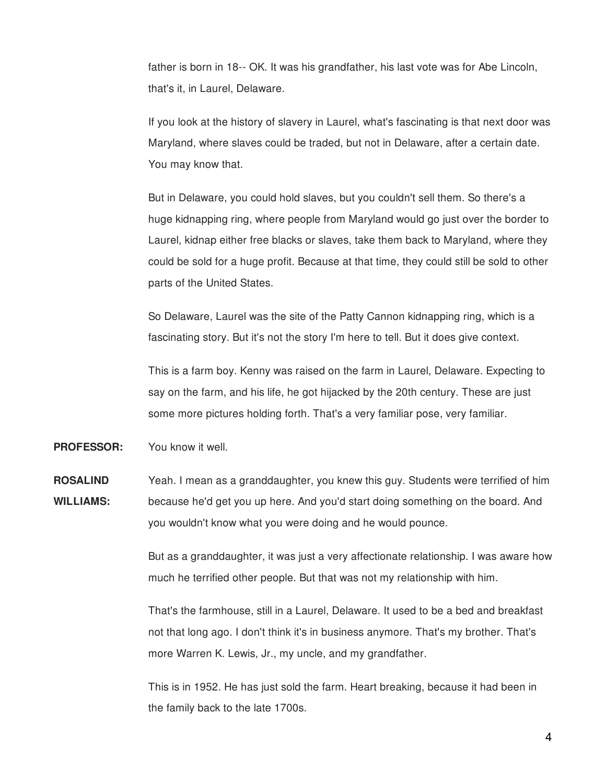father is born in 18-- OK. It was his grandfather, his last vote was for Abe Lincoln, that's it, in Laurel, Delaware.

If you look at the history of slavery in Laurel, what's fascinating is that next door was Maryland, where slaves could be traded, but not in Delaware, after a certain date. You may know that.

But in Delaware, you could hold slaves, but you couldn't sell them. So there's a huge kidnapping ring, where people from Maryland would go just over the border to Laurel, kidnap either free blacks or slaves, take them back to Maryland, where they could be sold for a huge profit. Because at that time, they could still be sold to other parts of the United States.

So Delaware, Laurel was the site of the Patty Cannon kidnapping ring, which is a fascinating story. But it's not the story I'm here to tell. But it does give context.

This is a farm boy. Kenny was raised on the farm in Laurel, Delaware. Expecting to say on the farm, and his life, he got hijacked by the 20th century. These are just some more pictures holding forth. That's a very familiar pose, very familiar.

**PROFESSOR:** You know it well.

**ROSALIND WILLIAMS:** Yeah. I mean as a granddaughter, you knew this guy. Students were terrified of him because he'd get you up here. And you'd start doing something on the board. And you wouldn't know what you were doing and he would pounce.

> But as a granddaughter, it was just a very affectionate relationship. I was aware how much he terrified other people. But that was not my relationship with him.

That's the farmhouse, still in a Laurel, Delaware. It used to be a bed and breakfast not that long ago. I don't think it's in business anymore. That's my brother. That's more Warren K. Lewis, Jr., my uncle, and my grandfather.

This is in 1952. He has just sold the farm. Heart breaking, because it had been in the family back to the late 1700s.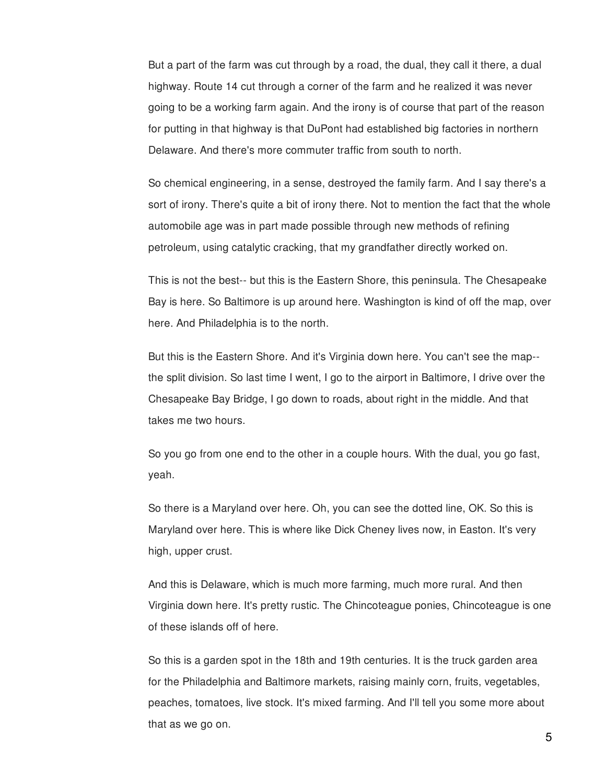But a part of the farm was cut through by a road, the dual, they call it there, a dual highway. Route 14 cut through a corner of the farm and he realized it was never going to be a working farm again. And the irony is of course that part of the reason for putting in that highway is that DuPont had established big factories in northern Delaware. And there's more commuter traffic from south to north.

So chemical engineering, in a sense, destroyed the family farm. And I say there's a sort of irony. There's quite a bit of irony there. Not to mention the fact that the whole automobile age was in part made possible through new methods of refining petroleum, using catalytic cracking, that my grandfather directly worked on.

This is not the best-- but this is the Eastern Shore, this peninsula. The Chesapeake Bay is here. So Baltimore is up around here. Washington is kind of off the map, over here. And Philadelphia is to the north.

But this is the Eastern Shore. And it's Virginia down here. You can't see the map- the split division. So last time I went, I go to the airport in Baltimore, I drive over the Chesapeake Bay Bridge, I go down to roads, about right in the middle. And that takes me two hours.

So you go from one end to the other in a couple hours. With the dual, you go fast, yeah.

So there is a Maryland over here. Oh, you can see the dotted line, OK. So this is Maryland over here. This is where like Dick Cheney lives now, in Easton. It's very high, upper crust.

And this is Delaware, which is much more farming, much more rural. And then Virginia down here. It's pretty rustic. The Chincoteague ponies, Chincoteague is one of these islands off of here.

So this is a garden spot in the 18th and 19th centuries. It is the truck garden area for the Philadelphia and Baltimore markets, raising mainly corn, fruits, vegetables, peaches, tomatoes, live stock. It's mixed farming. And I'll tell you some more about that as we go on.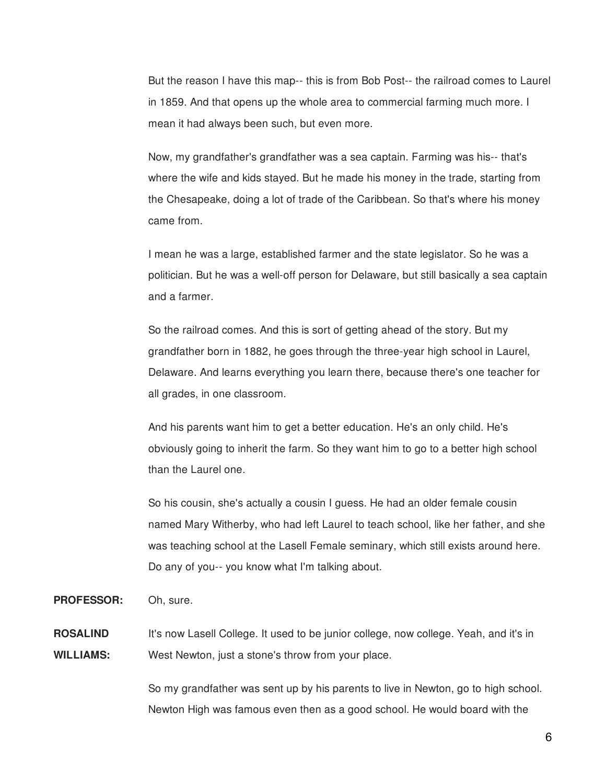But the reason I have this map-- this is from Bob Post-- the railroad comes to Laurel in 1859. And that opens up the whole area to commercial farming much more. I mean it had always been such, but even more.

Now, my grandfather's grandfather was a sea captain. Farming was his-- that's where the wife and kids stayed. But he made his money in the trade, starting from the Chesapeake, doing a lot of trade of the Caribbean. So that's where his money came from.

I mean he was a large, established farmer and the state legislator. So he was a politician. But he was a well-off person for Delaware, but still basically a sea captain and a farmer.

So the railroad comes. And this is sort of getting ahead of the story. But my grandfather born in 1882, he goes through the three-year high school in Laurel, Delaware. And learns everything you learn there, because there's one teacher for all grades, in one classroom.

And his parents want him to get a better education. He's an only child. He's obviously going to inherit the farm. So they want him to go to a better high school than the Laurel one.

So his cousin, she's actually a cousin I guess. He had an older female cousin named Mary Witherby, who had left Laurel to teach school, like her father, and she was teaching school at the Lasell Female seminary, which still exists around here. Do any of you-- you know what I'm talking about.

**PROFESSOR:** Oh, sure.

**ROSALIND WILLIAMS:** It's now Lasell College. It used to be junior college, now college. Yeah, and it's in West Newton, just a stone's throw from your place.

> So my grandfather was sent up by his parents to live in Newton, go to high school. Newton High was famous even then as a good school. He would board with the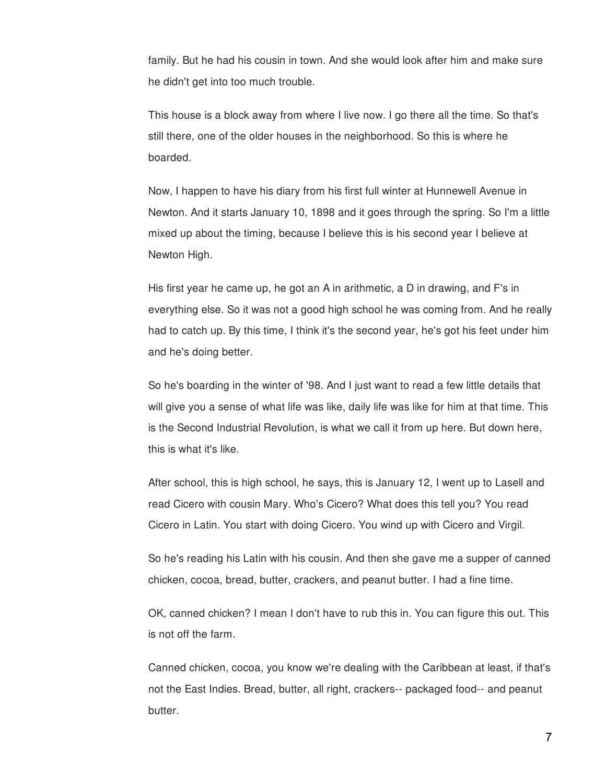family. But he had his cousin in town. And she would look after him and make sure he didn't get into too much trouble.

This house is a block away from where I live now. I go there all the time. So that's still there, one of the older houses in the neighborhood. So this is where he boarded.

Now, I happen to have his diary from his first full winter at Hunnewell Avenue in Newton. And it starts January 10, 1898 and it goes through the spring. So I'm a little mixed up about the timing, because I believe this is his second year I believe at Newton High.

His first year he came up, he got an A in arithmetic, a D in drawing, and F's in everything else. So it was not a good high school he was coming from. And he really had to catch up. By this time, I think it's the second year, he's got his feet under him and he's doing better.

So he's boarding in the winter of '98. And I just want to read a few little details that will give you a sense of what life was like, daily life was like for him at that time. This is the Second Industrial Revolution, is what we call it from up here. But down here, this is what it's like.

After school, this is high school, he says, this is January 12, I went up to Lasell and read Cicero with cousin Mary. Who's Cicero? What does this tell you? You read Cicero in Latin. You start with doing Cicero. You wind up with Cicero and Virgil.

So he's reading his Latin with his cousin. And then she gave me a supper of canned chicken, cocoa, bread, butter, crackers, and peanut butter. I had a fine time.

OK, canned chicken? I mean I don't have to rub this in. You can figure this out. This is not off the farm.

Canned chicken, cocoa, you know we're dealing with the Caribbean at least, if that's not the East Indies. Bread, butter, all right, crackers-- packaged food-- and peanut butter.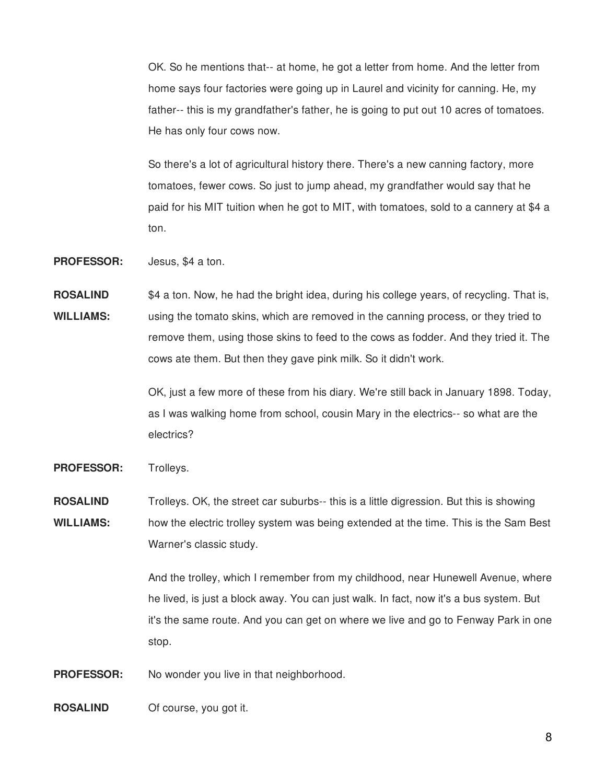OK. So he mentions that-- at home, he got a letter from home. And the letter from home says four factories were going up in Laurel and vicinity for canning. He, my father-- this is my grandfather's father, he is going to put out 10 acres of tomatoes. He has only four cows now.

So there's a lot of agricultural history there. There's a new canning factory, more tomatoes, fewer cows. So just to jump ahead, my grandfather would say that he paid for his MIT tuition when he got to MIT, with tomatoes, sold to a cannery at \$4 a ton.

**PROFESSOR:** Jesus, \$4 a ton.

**ROSALIND WILLIAMS:** \$4 a ton. Now, he had the bright idea, during his college years, of recycling. That is, using the tomato skins, which are removed in the canning process, or they tried to remove them, using those skins to feed to the cows as fodder. And they tried it. The cows ate them. But then they gave pink milk. So it didn't work.

> OK, just a few more of these from his diary. We're still back in January 1898. Today, as I was walking home from school, cousin Mary in the electrics-- so what are the electrics?

PROFESSOR: Trolleys.

**ROSALIND WILLIAMS:** Trolleys. OK, the street car suburbs-- this is a little digression. But this is showing how the electric trolley system was being extended at the time. This is the Sam Best Warner's classic study.

> And the trolley, which I remember from my childhood, near Hunewell Avenue, where he lived, is just a block away. You can just walk. In fact, now it's a bus system. But it's the same route. And you can get on where we live and go to Fenway Park in one stop.

**PROFESSOR:** No wonder you live in that neighborhood.

**ROSALIND** Of course, you got it.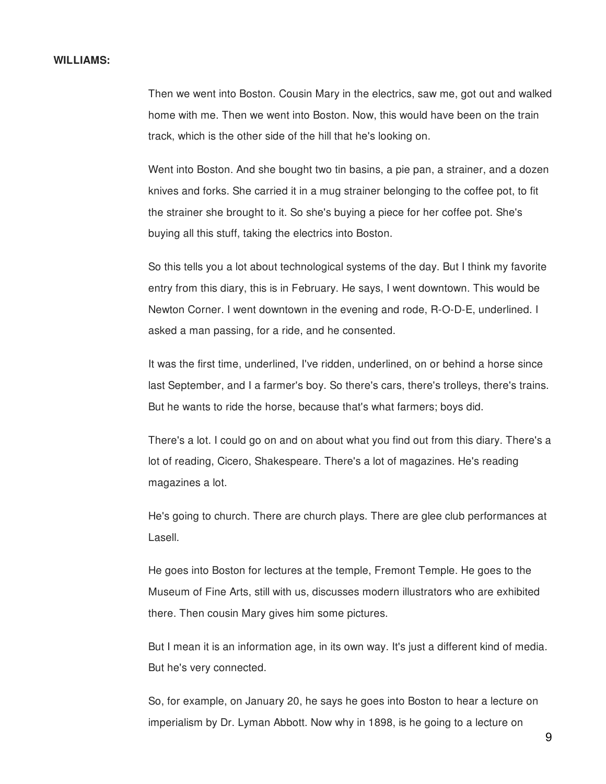### **WILLIAMS:**

Then we went into Boston. Cousin Mary in the electrics, saw me, got out and walked home with me. Then we went into Boston. Now, this would have been on the train track, which is the other side of the hill that he's looking on.

Went into Boston. And she bought two tin basins, a pie pan, a strainer, and a dozen knives and forks. She carried it in a mug strainer belonging to the coffee pot, to fit the strainer she brought to it. So she's buying a piece for her coffee pot. She's buying all this stuff, taking the electrics into Boston.

So this tells you a lot about technological systems of the day. But I think my favorite entry from this diary, this is in February. He says, I went downtown. This would be Newton Corner. I went downtown in the evening and rode, R-O-D-E, underlined. I asked a man passing, for a ride, and he consented.

It was the first time, underlined, I've ridden, underlined, on or behind a horse since last September, and I a farmer's boy. So there's cars, there's trolleys, there's trains. But he wants to ride the horse, because that's what farmers; boys did.

There's a lot. I could go on and on about what you find out from this diary. There's a lot of reading, Cicero, Shakespeare. There's a lot of magazines. He's reading magazines a lot.

He's going to church. There are church plays. There are glee club performances at Lasell.

He goes into Boston for lectures at the temple, Fremont Temple. He goes to the Museum of Fine Arts, still with us, discusses modern illustrators who are exhibited there. Then cousin Mary gives him some pictures.

But I mean it is an information age, in its own way. It's just a different kind of media. But he's very connected.

So, for example, on January 20, he says he goes into Boston to hear a lecture on imperialism by Dr. Lyman Abbott. Now why in 1898, is he going to a lecture on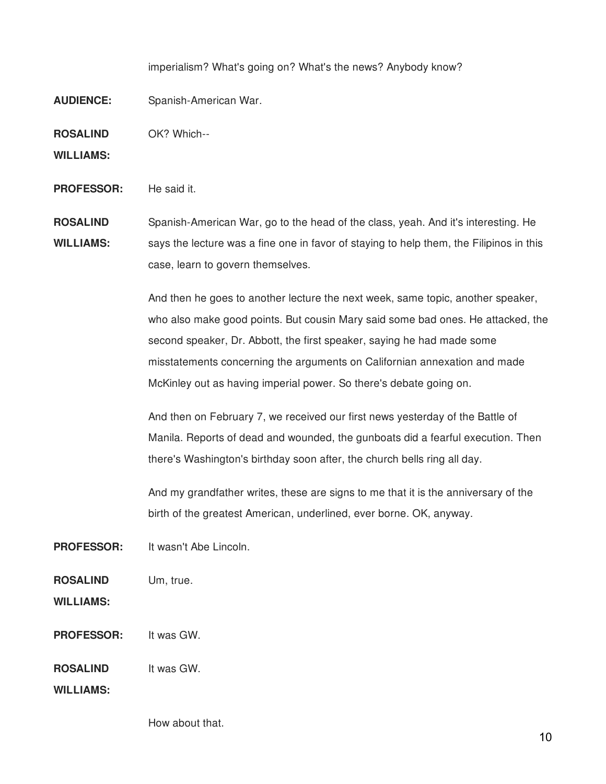imperialism? What's going on? What's the news? Anybody know?

**AUDIENCE:** Spanish-American War.

**ROSALIND** OK? Which--

**WILLIAMS:**

**PROFESSOR:** He said it.

**ROSALIND WILLIAMS:** Spanish-American War, go to the head of the class, yeah. And it's interesting. He says the lecture was a fine one in favor of staying to help them, the Filipinos in this case, learn to govern themselves.

> And then he goes to another lecture the next week, same topic, another speaker, who also make good points. But cousin Mary said some bad ones. He attacked, the second speaker, Dr. Abbott, the first speaker, saying he had made some misstatements concerning the arguments on Californian annexation and made McKinley out as having imperial power. So there's debate going on.

And then on February 7, we received our first news yesterday of the Battle of Manila. Reports of dead and wounded, the gunboats did a fearful execution. Then there's Washington's birthday soon after, the church bells ring all day.

And my grandfather writes, these are signs to me that it is the anniversary of the birth of the greatest American, underlined, ever borne. OK, anyway.

**PROFESSOR:** It wasn't Abe Lincoln.

**ROSALIND** Um, true.

**WILLIAMS:**

**PROFESSOR:** It was GW.

**ROSALIND** It was GW.

**WILLIAMS:**

How about that.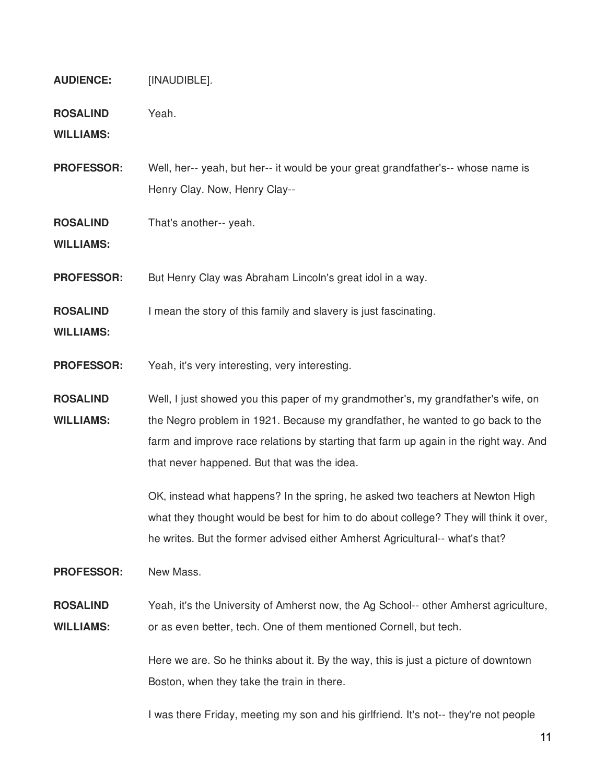- **AUDIENCE:** [INAUDIBLE].
- **ROSALIND** Yeah.

**WILLIAMS:**

- **PROFESSOR:** Well, her-- yeah, but her-- it would be your great grandfather's-- whose name is Henry Clay. Now, Henry Clay--
- **ROSALIND** That's another-- yeah.

**WILLIAMS:**

- **PROFESSOR:** But Henry Clay was Abraham Lincoln's great idol in a way.
- **ROSALIND** I mean the story of this family and slavery is just fascinating.
- **WILLIAMS:**
- **PROFESSOR:** Yeah, it's very interesting, very interesting.
- **ROSALIND WILLIAMS:** Well, I just showed you this paper of my grandmother's, my grandfather's wife, on the Negro problem in 1921. Because my grandfather, he wanted to go back to the farm and improve race relations by starting that farm up again in the right way. And that never happened. But that was the idea.

OK, instead what happens? In the spring, he asked two teachers at Newton High what they thought would be best for him to do about college? They will think it over, he writes. But the former advised either Amherst Agricultural-- what's that?

**PROFESSOR:** New Mass.

### **ROSALIND WILLIAMS:** Yeah, it's the University of Amherst now, the Ag School-- other Amherst agriculture, or as even better, tech. One of them mentioned Cornell, but tech.

Here we are. So he thinks about it. By the way, this is just a picture of downtown Boston, when they take the train in there.

I was there Friday, meeting my son and his girlfriend. It's not-- they're not people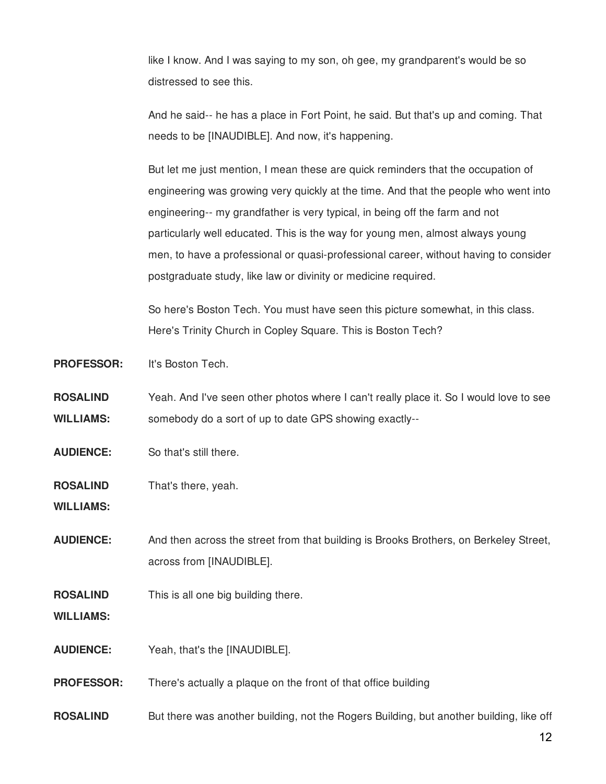like I know. And I was saying to my son, oh gee, my grandparent's would be so distressed to see this.

And he said-- he has a place in Fort Point, he said. But that's up and coming. That needs to be [INAUDIBLE]. And now, it's happening.

But let me just mention, I mean these are quick reminders that the occupation of engineering was growing very quickly at the time. And that the people who went into engineering-- my grandfather is very typical, in being off the farm and not particularly well educated. This is the way for young men, almost always young men, to have a professional or quasi-professional career, without having to consider postgraduate study, like law or divinity or medicine required.

So here's Boston Tech. You must have seen this picture somewhat, in this class. Here's Trinity Church in Copley Square. This is Boston Tech?

**PROFESSOR:** It's Boston Tech.

- **ROSALIND WILLIAMS:** Yeah. And I've seen other photos where I can't really place it. So I would love to see somebody do a sort of up to date GPS showing exactly--
- **AUDIENCE:** So that's still there.
- **ROSALIND** That's there, yeah.

**WILLIAMS:**

- **AUDIENCE:** And then across the street from that building is Brooks Brothers, on Berkeley Street, across from [INAUDIBLE].
- **ROSALIND** This is all one big building there.

**WILLIAMS:**

- **AUDIENCE:** Yeah, that's the [INAUDIBLE].
- **PROFESSOR:** There's actually a plaque on the front of that office building
- **ROSALIND** But there was another building, not the Rogers Building, but another building, like off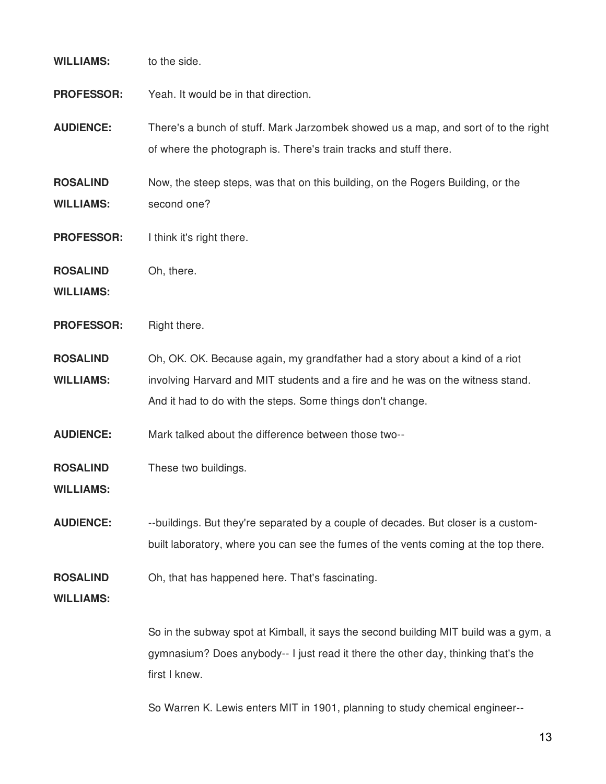# **WILLIAMS:** to the side.

- **PROFESSOR:** Yeah. It would be in that direction.
- **AUDIENCE:** There's a bunch of stuff. Mark Jarzombek showed us a map, and sort of to the right of where the photograph is. There's train tracks and stuff there.
- **ROSALIND WILLIAMS:** Now, the steep steps, was that on this building, on the Rogers Building, or the second one?
- **PROFESSOR:** I think it's right there.
- **ROSALIND** Oh, there.
- **WILLIAMS:**
- **PROFESSOR:** Right there.
- **ROSALIND WILLIAMS:** Oh, OK. OK. Because again, my grandfather had a story about a kind of a riot involving Harvard and MIT students and a fire and he was on the witness stand. And it had to do with the steps. Some things don't change.
- **AUDIENCE:** Mark talked about the difference between those two--
- **ROSALIND** These two buildings.
- **WILLIAMS:**
- **AUDIENCE:** --buildings. But they're separated by a couple of decades. But closer is a custombuilt laboratory, where you can see the fumes of the vents coming at the top there.
- **ROSALIND** Oh, that has happened here. That's fascinating.
- **WILLIAMS:**

So in the subway spot at Kimball, it says the second building MIT build was a gym, a gymnasium? Does anybody-- I just read it there the other day, thinking that's the first I knew.

So Warren K. Lewis enters MIT in 1901, planning to study chemical engineer--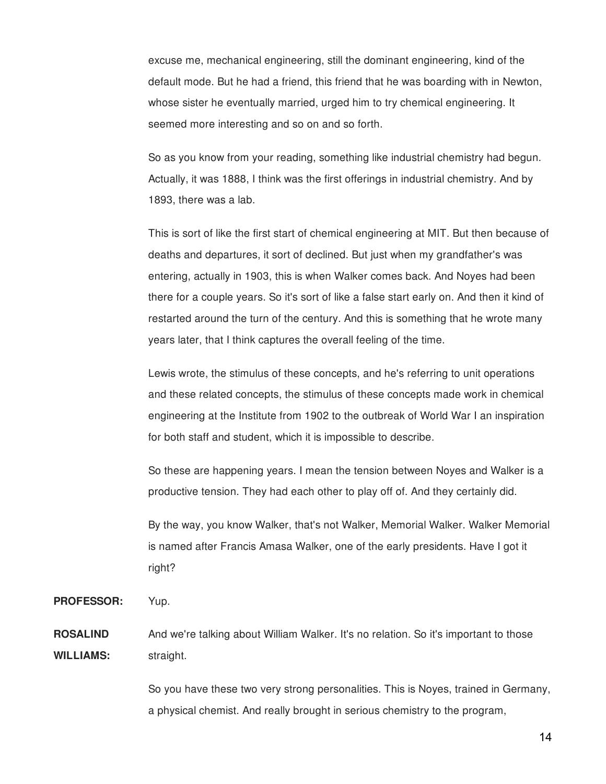excuse me, mechanical engineering, still the dominant engineering, kind of the default mode. But he had a friend, this friend that he was boarding with in Newton, whose sister he eventually married, urged him to try chemical engineering. It seemed more interesting and so on and so forth.

So as you know from your reading, something like industrial chemistry had begun. Actually, it was 1888, I think was the first offerings in industrial chemistry. And by 1893, there was a lab.

This is sort of like the first start of chemical engineering at MIT. But then because of deaths and departures, it sort of declined. But just when my grandfather's was entering, actually in 1903, this is when Walker comes back. And Noyes had been there for a couple years. So it's sort of like a false start early on. And then it kind of restarted around the turn of the century. And this is something that he wrote many years later, that I think captures the overall feeling of the time.

Lewis wrote, the stimulus of these concepts, and he's referring to unit operations and these related concepts, the stimulus of these concepts made work in chemical engineering at the Institute from 1902 to the outbreak of World War I an inspiration for both staff and student, which it is impossible to describe.

So these are happening years. I mean the tension between Noyes and Walker is a productive tension. They had each other to play off of. And they certainly did.

By the way, you know Walker, that's not Walker, Memorial Walker. Walker Memorial is named after Francis Amasa Walker, one of the early presidents. Have I got it right?

**PROFESSOR:** Yup.

**ROSALIND WILLIAMS:** And we're talking about William Walker. It's no relation. So it's important to those straight.

> So you have these two very strong personalities. This is Noyes, trained in Germany, a physical chemist. And really brought in serious chemistry to the program,

> > 14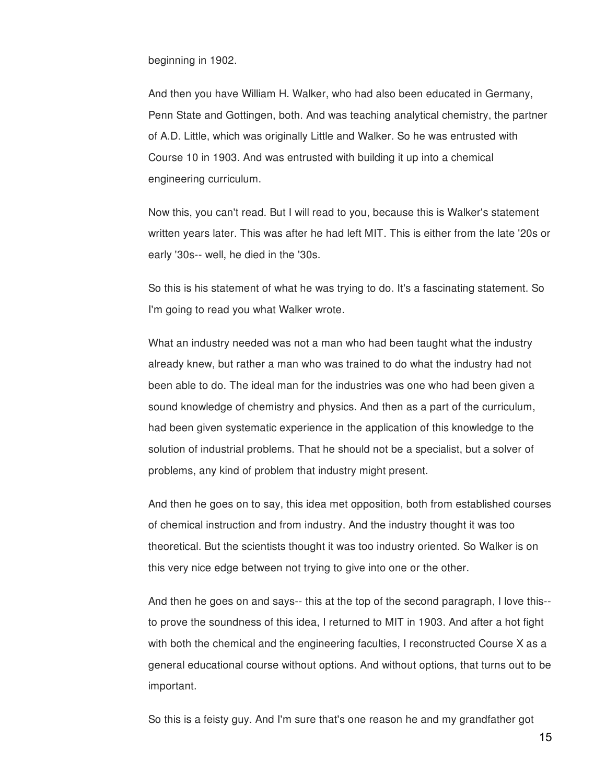beginning in 1902.

And then you have William H. Walker, who had also been educated in Germany, Penn State and Gottingen, both. And was teaching analytical chemistry, the partner of A.D. Little, which was originally Little and Walker. So he was entrusted with Course 10 in 1903. And was entrusted with building it up into a chemical engineering curriculum.

Now this, you can't read. But I will read to you, because this is Walker's statement written years later. This was after he had left MIT. This is either from the late '20s or early '30s-- well, he died in the '30s.

So this is his statement of what he was trying to do. It's a fascinating statement. So I'm going to read you what Walker wrote.

What an industry needed was not a man who had been taught what the industry already knew, but rather a man who was trained to do what the industry had not been able to do. The ideal man for the industries was one who had been given a sound knowledge of chemistry and physics. And then as a part of the curriculum, had been given systematic experience in the application of this knowledge to the solution of industrial problems. That he should not be a specialist, but a solver of problems, any kind of problem that industry might present.

And then he goes on to say, this idea met opposition, both from established courses of chemical instruction and from industry. And the industry thought it was too theoretical. But the scientists thought it was too industry oriented. So Walker is on this very nice edge between not trying to give into one or the other.

And then he goes on and says-- this at the top of the second paragraph, I love this- to prove the soundness of this idea, I returned to MIT in 1903. And after a hot fight with both the chemical and the engineering faculties, I reconstructed Course X as a general educational course without options. And without options, that turns out to be important.

So this is a feisty guy. And I'm sure that's one reason he and my grandfather got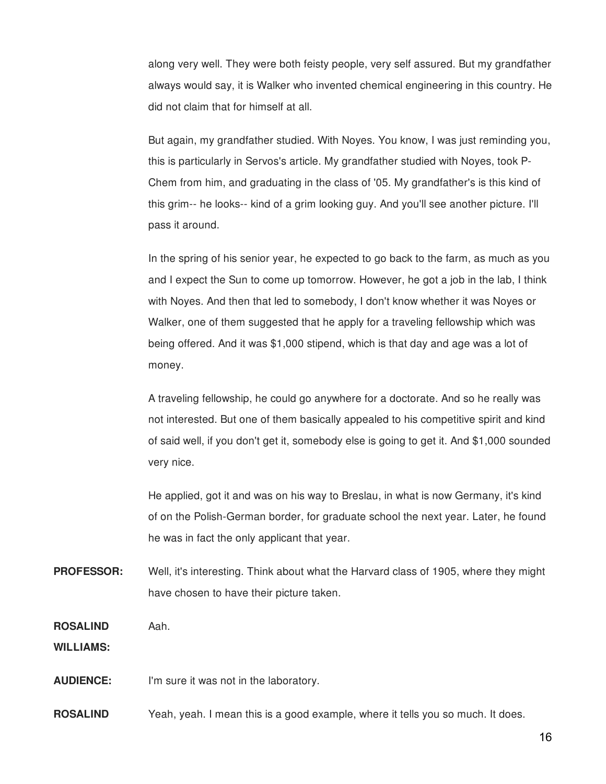along very well. They were both feisty people, very self assured. But my grandfather always would say, it is Walker who invented chemical engineering in this country. He did not claim that for himself at all.

But again, my grandfather studied. With Noyes. You know, I was just reminding you, this is particularly in Servos's article. My grandfather studied with Noyes, took P-Chem from him, and graduating in the class of '05. My grandfather's is this kind of this grim-- he looks-- kind of a grim looking guy. And you'll see another picture. I'll pass it around.

In the spring of his senior year, he expected to go back to the farm, as much as you and I expect the Sun to come up tomorrow. However, he got a job in the lab, I think with Noyes. And then that led to somebody, I don't know whether it was Noyes or Walker, one of them suggested that he apply for a traveling fellowship which was being offered. And it was \$1,000 stipend, which is that day and age was a lot of money.

A traveling fellowship, he could go anywhere for a doctorate. And so he really was not interested. But one of them basically appealed to his competitive spirit and kind of said well, if you don't get it, somebody else is going to get it. And \$1,000 sounded very nice.

He applied, got it and was on his way to Breslau, in what is now Germany, it's kind of on the Polish-German border, for graduate school the next year. Later, he found he was in fact the only applicant that year.

**PROFESSOR:** Well, it's interesting. Think about what the Harvard class of 1905, where they might have chosen to have their picture taken.

**ROSALIND** Aah.

**WILLIAMS:**

**AUDIENCE:** I'm sure it was not in the laboratory.

**ROSALIND** Yeah, yeah. I mean this is a good example, where it tells you so much. It does.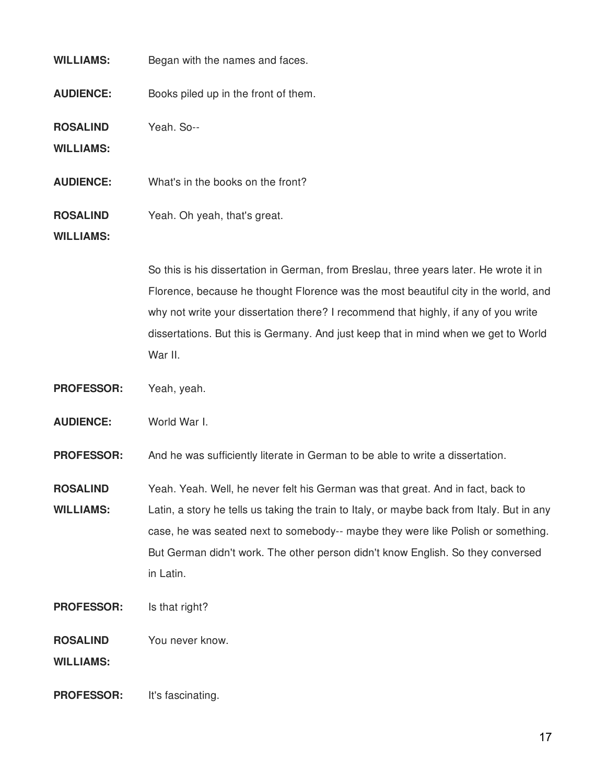| <b>WILLIAMS:</b>                    | Began with the names and faces.                                                                                                                                                                                                                                                                                                                                        |
|-------------------------------------|------------------------------------------------------------------------------------------------------------------------------------------------------------------------------------------------------------------------------------------------------------------------------------------------------------------------------------------------------------------------|
| <b>AUDIENCE:</b>                    | Books piled up in the front of them.                                                                                                                                                                                                                                                                                                                                   |
| <b>ROSALIND</b><br><b>WILLIAMS:</b> | Yeah. So--                                                                                                                                                                                                                                                                                                                                                             |
| <b>AUDIENCE:</b>                    | What's in the books on the front?                                                                                                                                                                                                                                                                                                                                      |
| <b>ROSALIND</b><br><b>WILLIAMS:</b> | Yeah. Oh yeah, that's great.                                                                                                                                                                                                                                                                                                                                           |
|                                     | So this is his dissertation in German, from Breslau, three years later. He wrote it in<br>Florence, because he thought Florence was the most beautiful city in the world, and<br>why not write your dissertation there? I recommend that highly, if any of you write<br>dissertations. But this is Germany. And just keep that in mind when we get to World<br>War II. |
| <b>PROFESSOR:</b>                   | Yeah, yeah.                                                                                                                                                                                                                                                                                                                                                            |
| <b>AUDIENCE:</b>                    | World War I.                                                                                                                                                                                                                                                                                                                                                           |
| <b>PROFESSOR:</b>                   | And he was sufficiently literate in German to be able to write a dissertation.                                                                                                                                                                                                                                                                                         |
| <b>ROSALIND</b><br><b>WILLIAMS:</b> | Yeah. Yeah. Well, he never felt his German was that great. And in fact, back to<br>Latin, a story he tells us taking the train to Italy, or maybe back from Italy. But in any<br>case, he was seated next to somebody-- maybe they were like Polish or something.<br>But German didn't work. The other person didn't know English. So they conversed<br>in Latin.      |
| <b>PROFESSOR:</b>                   | Is that right?                                                                                                                                                                                                                                                                                                                                                         |
| <b>ROSALIND</b><br><b>WILLIAMS:</b> | You never know.                                                                                                                                                                                                                                                                                                                                                        |
| <b>PROFESSOR:</b>                   | It's fascinating.                                                                                                                                                                                                                                                                                                                                                      |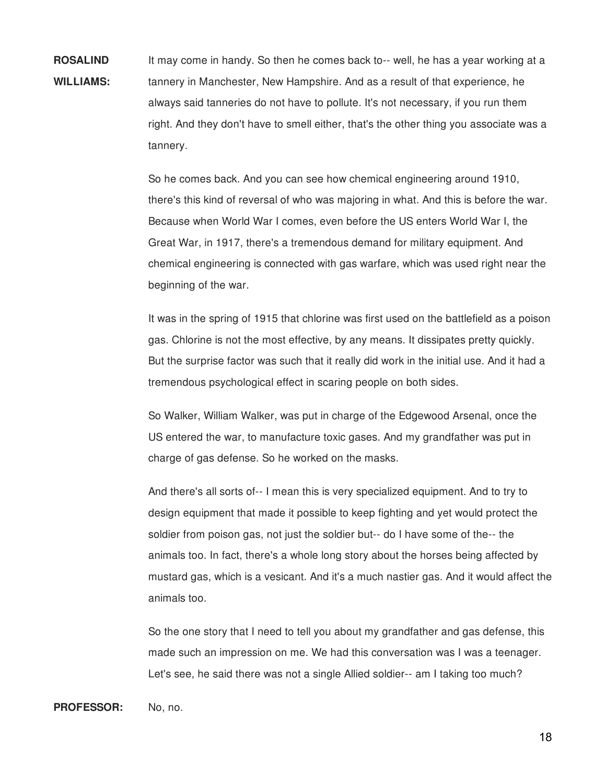**ROSALIND WILLIAMS:** It may come in handy. So then he comes back to-- well, he has a year working at a tannery in Manchester, New Hampshire. And as a result of that experience, he always said tanneries do not have to pollute. It's not necessary, if you run them right. And they don't have to smell either, that's the other thing you associate was a tannery.

> So he comes back. And you can see how chemical engineering around 1910, there's this kind of reversal of who was majoring in what. And this is before the war. Because when World War I comes, even before the US enters World War I, the Great War, in 1917, there's a tremendous demand for military equipment. And chemical engineering is connected with gas warfare, which was used right near the beginning of the war.

> It was in the spring of 1915 that chlorine was first used on the battlefield as a poison gas. Chlorine is not the most effective, by any means. It dissipates pretty quickly. But the surprise factor was such that it really did work in the initial use. And it had a tremendous psychological effect in scaring people on both sides.

So Walker, William Walker, was put in charge of the Edgewood Arsenal, once the US entered the war, to manufacture toxic gases. And my grandfather was put in charge of gas defense. So he worked on the masks.

And there's all sorts of-- I mean this is very specialized equipment. And to try to design equipment that made it possible to keep fighting and yet would protect the soldier from poison gas, not just the soldier but-- do I have some of the-- the animals too. In fact, there's a whole long story about the horses being affected by mustard gas, which is a vesicant. And it's a much nastier gas. And it would affect the animals too.

So the one story that I need to tell you about my grandfather and gas defense, this made such an impression on me. We had this conversation was I was a teenager. Let's see, he said there was not a single Allied soldier-- am I taking too much?

## PROFESSOR: No, no.

18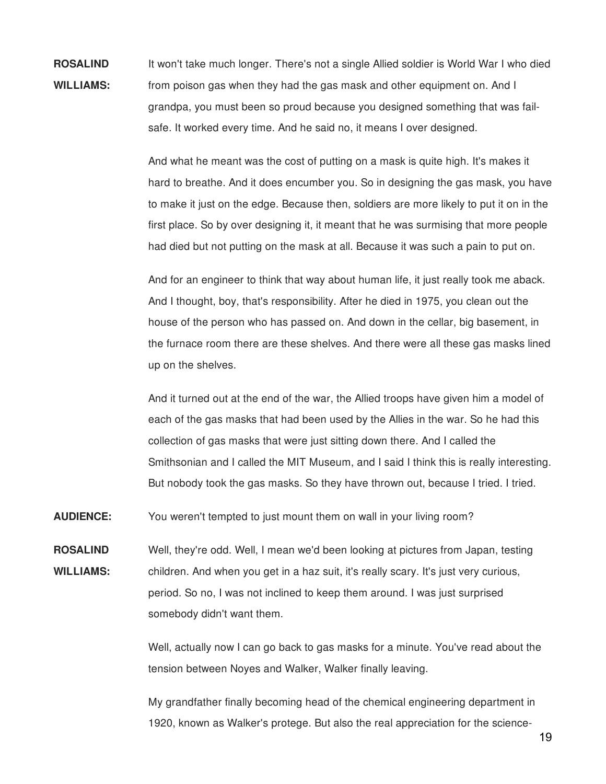**ROSALIND WILLIAMS:** It won't take much longer. There's not a single Allied soldier is World War I who died from poison gas when they had the gas mask and other equipment on. And I grandpa, you must been so proud because you designed something that was failsafe. It worked every time. And he said no, it means I over designed.

> And what he meant was the cost of putting on a mask is quite high. It's makes it hard to breathe. And it does encumber you. So in designing the gas mask, you have to make it just on the edge. Because then, soldiers are more likely to put it on in the first place. So by over designing it, it meant that he was surmising that more people had died but not putting on the mask at all. Because it was such a pain to put on.

> And for an engineer to think that way about human life, it just really took me aback. And I thought, boy, that's responsibility. After he died in 1975, you clean out the house of the person who has passed on. And down in the cellar, big basement, in the furnace room there are these shelves. And there were all these gas masks lined up on the shelves.

> And it turned out at the end of the war, the Allied troops have given him a model of each of the gas masks that had been used by the Allies in the war. So he had this collection of gas masks that were just sitting down there. And I called the Smithsonian and I called the MIT Museum, and I said I think this is really interesting. But nobody took the gas masks. So they have thrown out, because I tried. I tried.

**AUDIENCE:** You weren't tempted to just mount them on wall in your living room?

**ROSALIND WILLIAMS:** Well, they're odd. Well, I mean we'd been looking at pictures from Japan, testing children. And when you get in a haz suit, it's really scary. It's just very curious, period. So no, I was not inclined to keep them around. I was just surprised somebody didn't want them.

> Well, actually now I can go back to gas masks for a minute. You've read about the tension between Noyes and Walker, Walker finally leaving.

My grandfather finally becoming head of the chemical engineering department in 1920, known as Walker's protege. But also the real appreciation for the science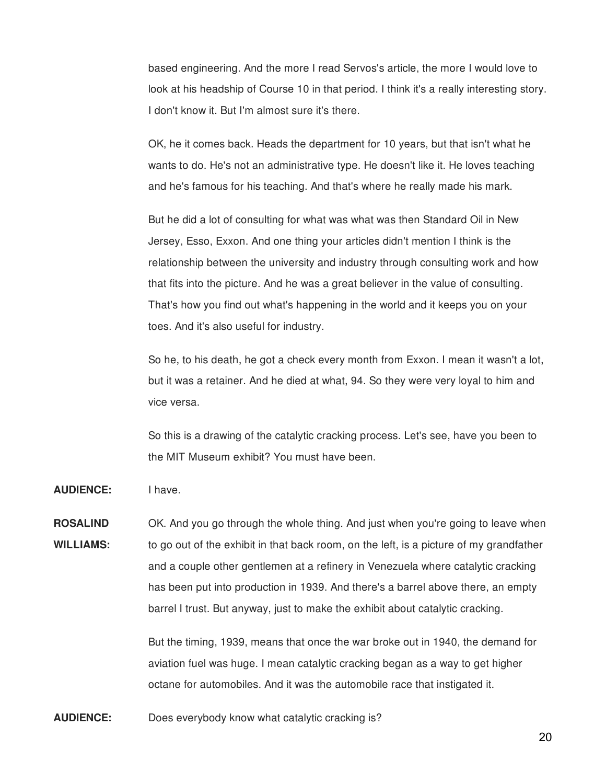based engineering. And the more I read Servos's article, the more I would love to look at his headship of Course 10 in that period. I think it's a really interesting story. I don't know it. But I'm almost sure it's there.

OK, he it comes back. Heads the department for 10 years, but that isn't what he wants to do. He's not an administrative type. He doesn't like it. He loves teaching and he's famous for his teaching. And that's where he really made his mark.

But he did a lot of consulting for what was what was then Standard Oil in New Jersey, Esso, Exxon. And one thing your articles didn't mention I think is the relationship between the university and industry through consulting work and how that fits into the picture. And he was a great believer in the value of consulting. That's how you find out what's happening in the world and it keeps you on your toes. And it's also useful for industry.

So he, to his death, he got a check every month from Exxon. I mean it wasn't a lot, but it was a retainer. And he died at what, 94. So they were very loyal to him and vice versa.

So this is a drawing of the catalytic cracking process. Let's see, have you been to the MIT Museum exhibit? You must have been.

**AUDIENCE:** I have.

**ROSALIND WILLIAMS:** OK. And you go through the whole thing. And just when you're going to leave when to go out of the exhibit in that back room, on the left, is a picture of my grandfather and a couple other gentlemen at a refinery in Venezuela where catalytic cracking has been put into production in 1939. And there's a barrel above there, an empty barrel I trust. But anyway, just to make the exhibit about catalytic cracking.

> But the timing, 1939, means that once the war broke out in 1940, the demand for aviation fuel was huge. I mean catalytic cracking began as a way to get higher octane for automobiles. And it was the automobile race that instigated it.

**AUDIENCE:** Does everybody know what catalytic cracking is?

20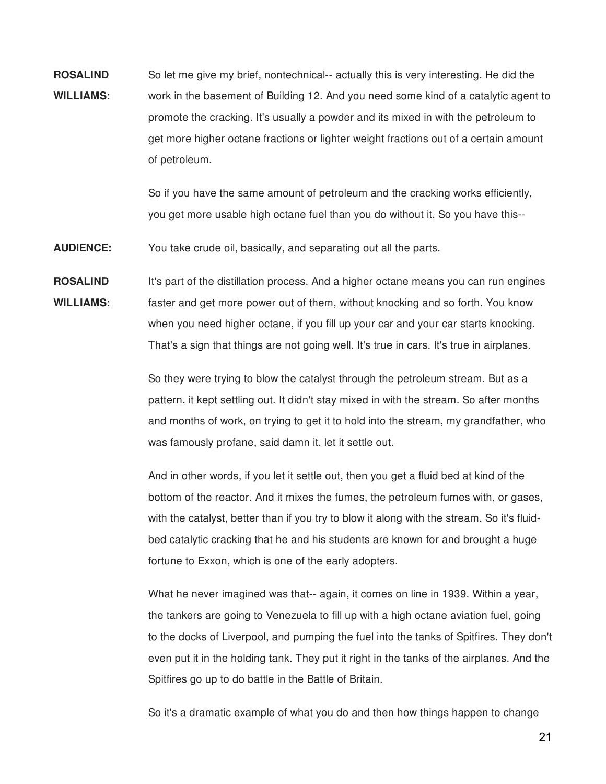**ROSALIND WILLIAMS:** So let me give my brief, nontechnical-- actually this is very interesting. He did the work in the basement of Building 12. And you need some kind of a catalytic agent to promote the cracking. It's usually a powder and its mixed in with the petroleum to get more higher octane fractions or lighter weight fractions out of a certain amount of petroleum.

> So if you have the same amount of petroleum and the cracking works efficiently, you get more usable high octane fuel than you do without it. So you have this--

**AUDIENCE:** You take crude oil, basically, and separating out all the parts.

**ROSALIND WILLIAMS:** It's part of the distillation process. And a higher octane means you can run engines faster and get more power out of them, without knocking and so forth. You know when you need higher octane, if you fill up your car and your car starts knocking. That's a sign that things are not going well. It's true in cars. It's true in airplanes.

> So they were trying to blow the catalyst through the petroleum stream. But as a pattern, it kept settling out. It didn't stay mixed in with the stream. So after months and months of work, on trying to get it to hold into the stream, my grandfather, who was famously profane, said damn it, let it settle out.

> And in other words, if you let it settle out, then you get a fluid bed at kind of the bottom of the reactor. And it mixes the fumes, the petroleum fumes with, or gases, with the catalyst, better than if you try to blow it along with the stream. So it's fluidbed catalytic cracking that he and his students are known for and brought a huge fortune to Exxon, which is one of the early adopters.

What he never imagined was that-- again, it comes on line in 1939. Within a year, the tankers are going to Venezuela to fill up with a high octane aviation fuel, going to the docks of Liverpool, and pumping the fuel into the tanks of Spitfires. They don't even put it in the holding tank. They put it right in the tanks of the airplanes. And the Spitfires go up to do battle in the Battle of Britain.

So it's a dramatic example of what you do and then how things happen to change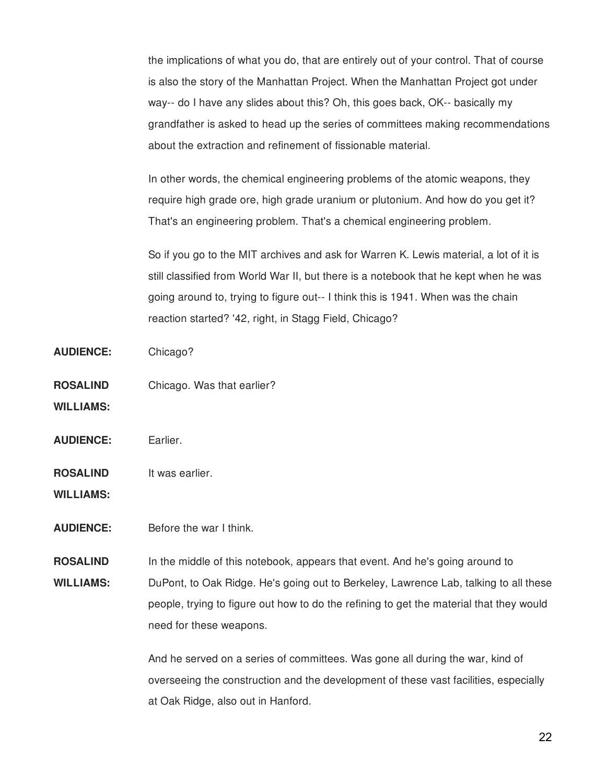the implications of what you do, that are entirely out of your control. That of course is also the story of the Manhattan Project. When the Manhattan Project got under way-- do I have any slides about this? Oh, this goes back, OK-- basically my grandfather is asked to head up the series of committees making recommendations about the extraction and refinement of fissionable material.

In other words, the chemical engineering problems of the atomic weapons, they require high grade ore, high grade uranium or plutonium. And how do you get it? That's an engineering problem. That's a chemical engineering problem.

So if you go to the MIT archives and ask for Warren K. Lewis material, a lot of it is still classified from World War II, but there is a notebook that he kept when he was going around to, trying to figure out-- I think this is 1941. When was the chain reaction started? '42, right, in Stagg Field, Chicago?

- **AUDIENCE:** Chicago?
- **ROSALIND** Chicago. Was that earlier?
- **WILLIAMS:**
- **AUDIENCE:** Earlier.
- **ROSALIND** It was earlier.
- **WILLIAMS:**
- **AUDIENCE:** Before the war I think.

**ROSALIND WILLIAMS:** In the middle of this notebook, appears that event. And he's going around to DuPont, to Oak Ridge. He's going out to Berkeley, Lawrence Lab, talking to all these people, trying to figure out how to do the refining to get the material that they would need for these weapons.

> And he served on a series of committees. Was gone all during the war, kind of overseeing the construction and the development of these vast facilities, especially at Oak Ridge, also out in Hanford.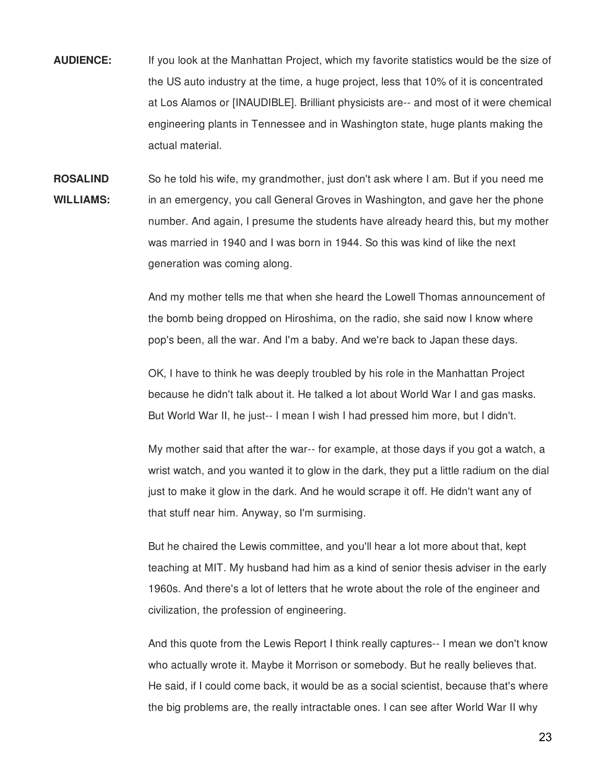- **AUDIENCE:** If you look at the Manhattan Project, which my favorite statistics would be the size of the US auto industry at the time, a huge project, less that 10% of it is concentrated at Los Alamos or [INAUDIBLE]. Brilliant physicists are-- and most of it were chemical engineering plants in Tennessee and in Washington state, huge plants making the actual material.
- **ROSALIND WILLIAMS:** So he told his wife, my grandmother, just don't ask where I am. But if you need me in an emergency, you call General Groves in Washington, and gave her the phone number. And again, I presume the students have already heard this, but my mother was married in 1940 and I was born in 1944. So this was kind of like the next generation was coming along.

And my mother tells me that when she heard the Lowell Thomas announcement of the bomb being dropped on Hiroshima, on the radio, she said now I know where pop's been, all the war. And I'm a baby. And we're back to Japan these days.

OK, I have to think he was deeply troubled by his role in the Manhattan Project because he didn't talk about it. He talked a lot about World War I and gas masks. But World War II, he just-- I mean I wish I had pressed him more, but I didn't.

My mother said that after the war-- for example, at those days if you got a watch, a wrist watch, and you wanted it to glow in the dark, they put a little radium on the dial just to make it glow in the dark. And he would scrape it off. He didn't want any of that stuff near him. Anyway, so I'm surmising.

But he chaired the Lewis committee, and you'll hear a lot more about that, kept teaching at MIT. My husband had him as a kind of senior thesis adviser in the early 1960s. And there's a lot of letters that he wrote about the role of the engineer and civilization, the profession of engineering.

And this quote from the Lewis Report I think really captures-- I mean we don't know who actually wrote it. Maybe it Morrison or somebody. But he really believes that. He said, if I could come back, it would be as a social scientist, because that's where the big problems are, the really intractable ones. I can see after World War II why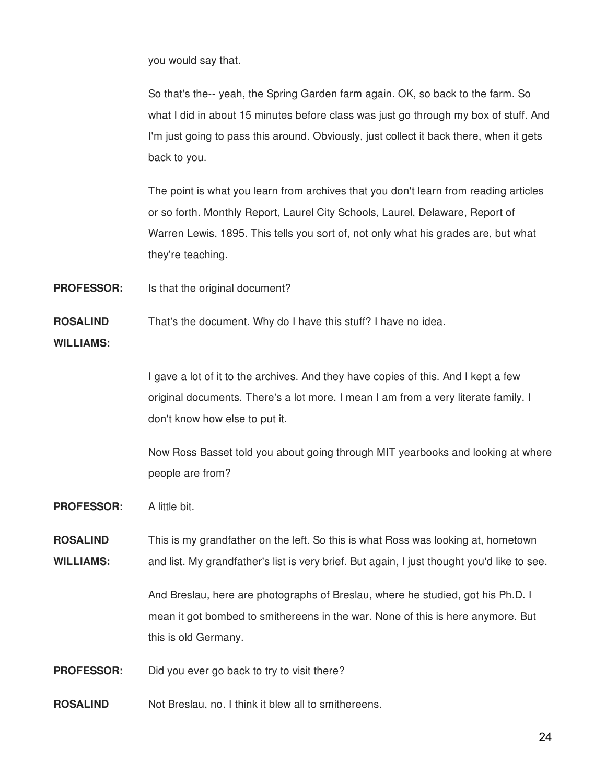you would say that.

So that's the-- yeah, the Spring Garden farm again. OK, so back to the farm. So what I did in about 15 minutes before class was just go through my box of stuff. And I'm just going to pass this around. Obviously, just collect it back there, when it gets back to you.

The point is what you learn from archives that you don't learn from reading articles or so forth. Monthly Report, Laurel City Schools, Laurel, Delaware, Report of Warren Lewis, 1895. This tells you sort of, not only what his grades are, but what they're teaching.

**PROFESSOR:** Is that the original document?

**ROSALIND** That's the document. Why do I have this stuff? I have no idea.

**WILLIAMS:**

I gave a lot of it to the archives. And they have copies of this. And I kept a few original documents. There's a lot more. I mean I am from a very literate family. I don't know how else to put it.

Now Ross Basset told you about going through MIT yearbooks and looking at where people are from?

**PROFESSOR:** A little bit.

**ROSALIND WILLIAMS:** This is my grandfather on the left. So this is what Ross was looking at, hometown and list. My grandfather's list is very brief. But again, I just thought you'd like to see.

> And Breslau, here are photographs of Breslau, where he studied, got his Ph.D. I mean it got bombed to smithereens in the war. None of this is here anymore. But this is old Germany.

**PROFESSOR:** Did you ever go back to try to visit there?

**ROSALIND** Not Breslau, no. I think it blew all to smithereens.

24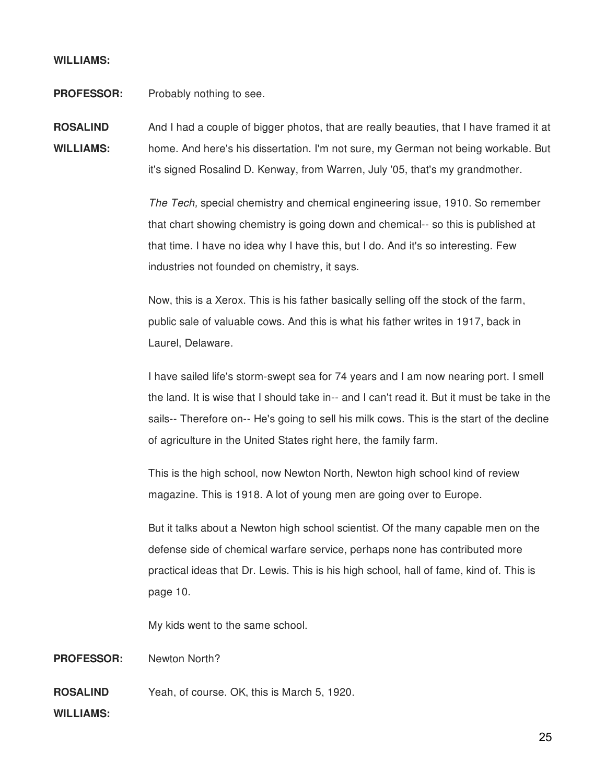# **WILLIAMS:**

**PROFESSOR:** Probably nothing to see.

**ROSALIND WILLIAMS:** And I had a couple of bigger photos, that are really beauties, that I have framed it at home. And here's his dissertation. I'm not sure, my German not being workable. But it's signed Rosalind D. Kenway, from Warren, July '05, that's my grandmother.

> *The Tech,* special chemistry and chemical engineering issue, 1910. So remember that chart showing chemistry is going down and chemical-- so this is published at that time. I have no idea why I have this, but I do. And it's so interesting. Few industries not founded on chemistry, it says.

Now, this is a Xerox. This is his father basically selling off the stock of the farm, public sale of valuable cows. And this is what his father writes in 1917, back in Laurel, Delaware.

I have sailed life's storm-swept sea for 74 years and I am now nearing port. I smell the land. It is wise that I should take in-- and I can't read it. But it must be take in the sails-- Therefore on-- He's going to sell his milk cows. This is the start of the decline of agriculture in the United States right here, the family farm.

This is the high school, now Newton North, Newton high school kind of review magazine. This is 1918. A lot of young men are going over to Europe.

But it talks about a Newton high school scientist. Of the many capable men on the defense side of chemical warfare service, perhaps none has contributed more practical ideas that Dr. Lewis. This is his high school, hall of fame, kind of. This is page 10.

My kids went to the same school.

**PROFESSOR:** Newton North?

**ROSALIND** Yeah, of course. OK, this is March 5, 1920.

**WILLIAMS:**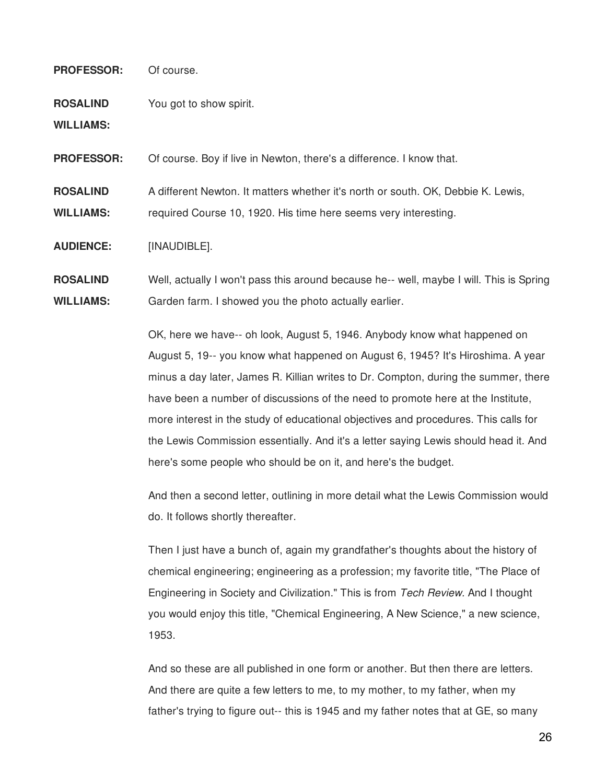# **PROFESSOR:** Of course.

**ROSALIND** You got to show spirit.

**WILLIAMS:**

**PROFESSOR:** Of course. Boy if live in Newton, there's a difference. I know that.

**ROSALIND** A different Newton. It matters whether it's north or south. OK, Debbie K. Lewis,

**WILLIAMS:** required Course 10, 1920. His time here seems very interesting.

**AUDIENCE:** [INAUDIBLE].

**ROSALIND WILLIAMS:** Well, actually I won't pass this around because he-- well, maybe I will. This is Spring Garden farm. I showed you the photo actually earlier.

> OK, here we have-- oh look, August 5, 1946. Anybody know what happened on August 5, 19-- you know what happened on August 6, 1945? It's Hiroshima. A year minus a day later, James R. Killian writes to Dr. Compton, during the summer, there have been a number of discussions of the need to promote here at the Institute, more interest in the study of educational objectives and procedures. This calls for the Lewis Commission essentially. And it's a letter saying Lewis should head it. And here's some people who should be on it, and here's the budget.

> And then a second letter, outlining in more detail what the Lewis Commission would do. It follows shortly thereafter.

Then I just have a bunch of, again my grandfather's thoughts about the history of chemical engineering; engineering as a profession; my favorite title, "The Place of Engineering in Society and Civilization." This is from *Tech Review.* And I thought you would enjoy this title, "Chemical Engineering, A New Science," a new science, 1953.

And so these are all published in one form or another. But then there are letters. And there are quite a few letters to me, to my mother, to my father, when my father's trying to figure out-- this is 1945 and my father notes that at GE, so many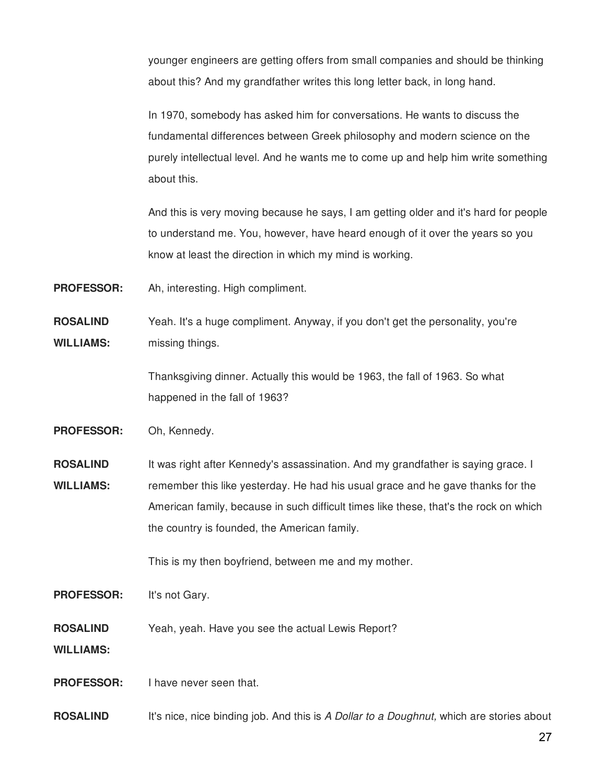younger engineers are getting offers from small companies and should be thinking about this? And my grandfather writes this long letter back, in long hand.

In 1970, somebody has asked him for conversations. He wants to discuss the fundamental differences between Greek philosophy and modern science on the purely intellectual level. And he wants me to come up and help him write something about this.

And this is very moving because he says, I am getting older and it's hard for people to understand me. You, however, have heard enough of it over the years so you know at least the direction in which my mind is working.

**PROFESSOR:** Ah, interesting. High compliment.

**ROSALIND WILLIAMS:** Yeah. It's a huge compliment. Anyway, if you don't get the personality, you're missing things.

> Thanksgiving dinner. Actually this would be 1963, the fall of 1963. So what happened in the fall of 1963?

**PROFESSOR:** Oh, Kennedy.

**ROSALIND WILLIAMS:** It was right after Kennedy's assassination. And my grandfather is saying grace. I remember this like yesterday. He had his usual grace and he gave thanks for the American family, because in such difficult times like these, that's the rock on which the country is founded, the American family.

This is my then boyfriend, between me and my mother.

**PROFESSOR:** It's not Gary.

**ROSALIND** Yeah, yeah. Have you see the actual Lewis Report?

**WILLIAMS:**

**PROFESSOR:** I have never seen that.

**ROSALIND** It's nice, nice binding job. And this is *A Dollar to a Doughnut,* which are stories about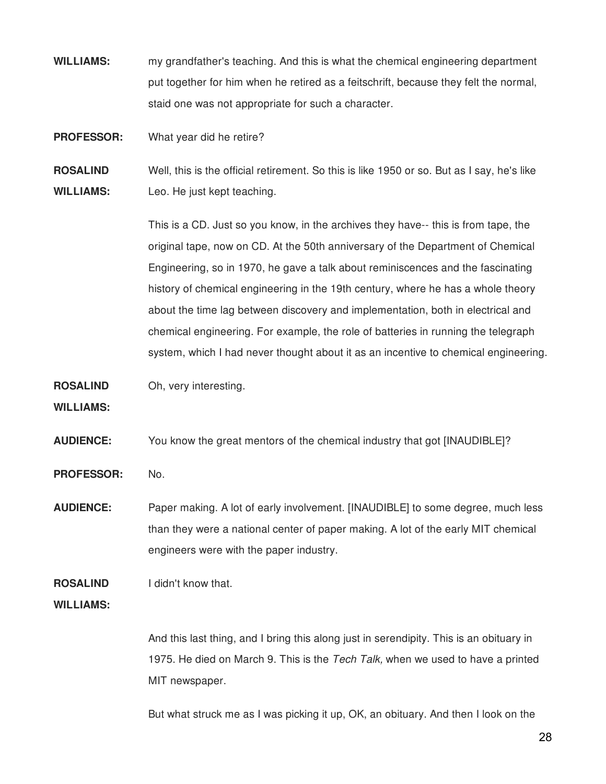**WILLIAMS:** my grandfather's teaching. And this is what the chemical engineering department put together for him when he retired as a feitschrift, because they felt the normal, staid one was not appropriate for such a character.

**PROFESSOR:** What year did he retire?

**ROSALIND WILLIAMS:** Well, this is the official retirement. So this is like 1950 or so. But as I say, he's like Leo. He just kept teaching.

> This is a CD. Just so you know, in the archives they have-- this is from tape, the original tape, now on CD. At the 50th anniversary of the Department of Chemical Engineering, so in 1970, he gave a talk about reminiscences and the fascinating history of chemical engineering in the 19th century, where he has a whole theory about the time lag between discovery and implementation, both in electrical and chemical engineering. For example, the role of batteries in running the telegraph system, which I had never thought about it as an incentive to chemical engineering.

**ROSALIND** Oh, very interesting.

**WILLIAMS:**

**AUDIENCE:** You know the great mentors of the chemical industry that got [INAUDIBLE]?

PROFESSOR: No.

**AUDIENCE:** Paper making. A lot of early involvement. [INAUDIBLE] to some degree, much less than they were a national center of paper making. A lot of the early MIT chemical engineers were with the paper industry.

**ROSALIND** I didn't know that.

**WILLIAMS:**

And this last thing, and I bring this along just in serendipity. This is an obituary in 1975. He died on March 9. This is the *Tech Talk,* when we used to have a printed MIT newspaper.

But what struck me as I was picking it up, OK, an obituary. And then I look on the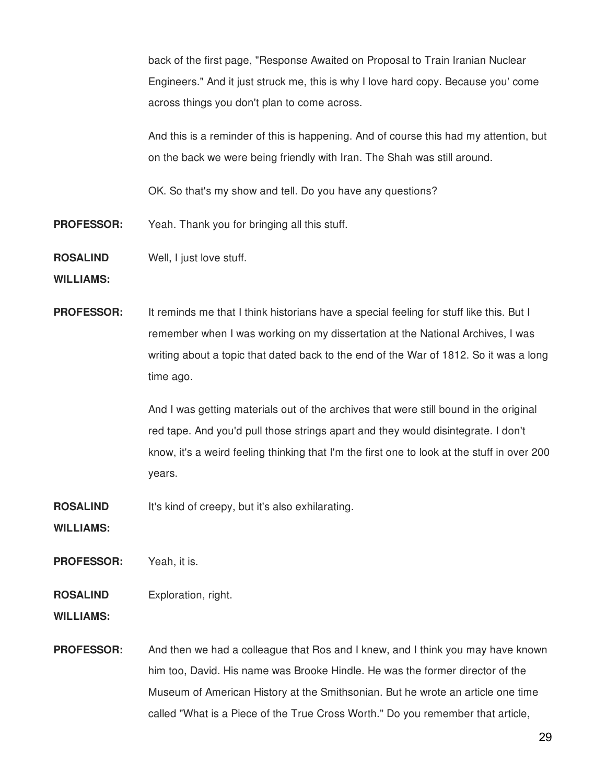back of the first page, "Response Awaited on Proposal to Train Iranian Nuclear Engineers." And it just struck me, this is why I love hard copy. Because you' come across things you don't plan to come across.

And this is a reminder of this is happening. And of course this had my attention, but on the back we were being friendly with Iran. The Shah was still around.

OK. So that's my show and tell. Do you have any questions?

- **PROFESSOR:** Yeah. Thank you for bringing all this stuff.
- **ROSALIND** Well, I just love stuff.

**WILLIAMS:**

**PROFESSOR:** It reminds me that I think historians have a special feeling for stuff like this. But I remember when I was working on my dissertation at the National Archives, I was writing about a topic that dated back to the end of the War of 1812. So it was a long time ago.

> And I was getting materials out of the archives that were still bound in the original red tape. And you'd pull those strings apart and they would disintegrate. I don't know, it's a weird feeling thinking that I'm the first one to look at the stuff in over 200 years.

**ROSALIND** It's kind of creepy, but it's also exhilarating.

**WILLIAMS:**

**PROFESSOR:** Yeah, it is.

#### **ROSALIND** Exploration, right.

**WILLIAMS:**

**PROFESSOR:** And then we had a colleague that Ros and I knew, and I think you may have known him too, David. His name was Brooke Hindle. He was the former director of the Museum of American History at the Smithsonian. But he wrote an article one time called "What is a Piece of the True Cross Worth." Do you remember that article,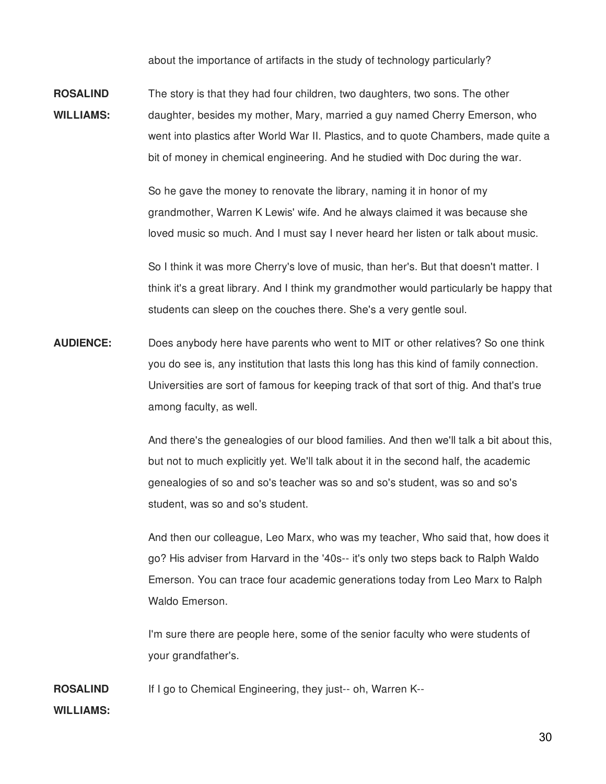about the importance of artifacts in the study of technology particularly?

**ROSALIND WILLIAMS:** The story is that they had four children, two daughters, two sons. The other daughter, besides my mother, Mary, married a guy named Cherry Emerson, who went into plastics after World War II. Plastics, and to quote Chambers, made quite a bit of money in chemical engineering. And he studied with Doc during the war.

> So he gave the money to renovate the library, naming it in honor of my grandmother, Warren K Lewis' wife. And he always claimed it was because she loved music so much. And I must say I never heard her listen or talk about music.

So I think it was more Cherry's love of music, than her's. But that doesn't matter. I think it's a great library. And I think my grandmother would particularly be happy that students can sleep on the couches there. She's a very gentle soul.

**AUDIENCE:** Does anybody here have parents who went to MIT or other relatives? So one think you do see is, any institution that lasts this long has this kind of family connection. Universities are sort of famous for keeping track of that sort of thig. And that's true among faculty, as well.

> And there's the genealogies of our blood families. And then we'll talk a bit about this, but not to much explicitly yet. We'll talk about it in the second half, the academic genealogies of so and so's teacher was so and so's student, was so and so's student, was so and so's student.

> And then our colleague, Leo Marx, who was my teacher, Who said that, how does it go? His adviser from Harvard in the '40s-- it's only two steps back to Ralph Waldo Emerson. You can trace four academic generations today from Leo Marx to Ralph Waldo Emerson.

I'm sure there are people here, some of the senior faculty who were students of your grandfather's.

**ROSALIND** If I go to Chemical Engineering, they just-- oh, Warren K--

# **WILLIAMS:**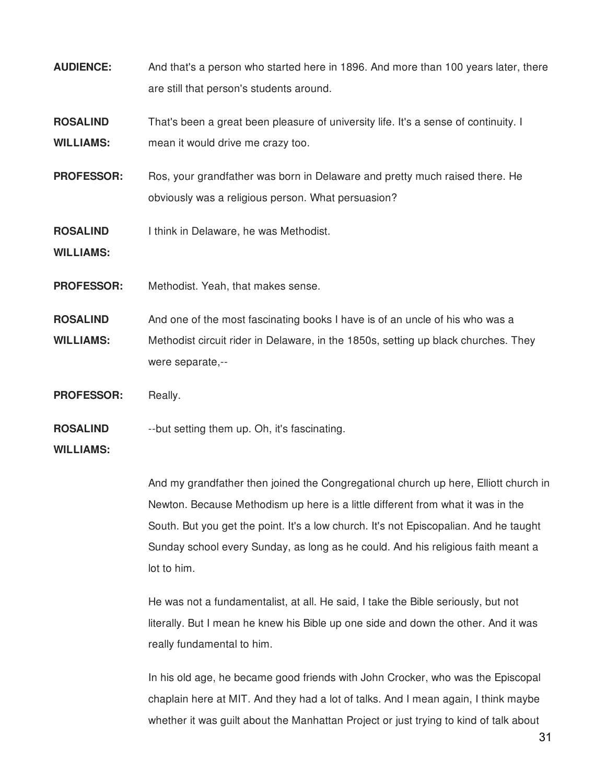- **AUDIENCE:** And that's a person who started here in 1896. And more than 100 years later, there are still that person's students around.
- **ROSALIND WILLIAMS:** That's been a great been pleasure of university life. It's a sense of continuity. I mean it would drive me crazy too.
- **PROFESSOR:** Ros, your grandfather was born in Delaware and pretty much raised there. He obviously was a religious person. What persuasion?
- **ROSALIND** I think in Delaware, he was Methodist.

**WILLIAMS:**

- **PROFESSOR:** Methodist. Yeah, that makes sense.
- **ROSALIND WILLIAMS:** And one of the most fascinating books I have is of an uncle of his who was a Methodist circuit rider in Delaware, in the 1850s, setting up black churches. They were separate,--
- PROFESSOR: Really.
- **ROSALIND** --but setting them up. Oh, it's fascinating.

## **WILLIAMS:**

And my grandfather then joined the Congregational church up here, Elliott church in Newton. Because Methodism up here is a little different from what it was in the South. But you get the point. It's a low church. It's not Episcopalian. And he taught Sunday school every Sunday, as long as he could. And his religious faith meant a lot to him.

He was not a fundamentalist, at all. He said, I take the Bible seriously, but not literally. But I mean he knew his Bible up one side and down the other. And it was really fundamental to him.

In his old age, he became good friends with John Crocker, who was the Episcopal chaplain here at MIT. And they had a lot of talks. And I mean again, I think maybe whether it was guilt about the Manhattan Project or just trying to kind of talk about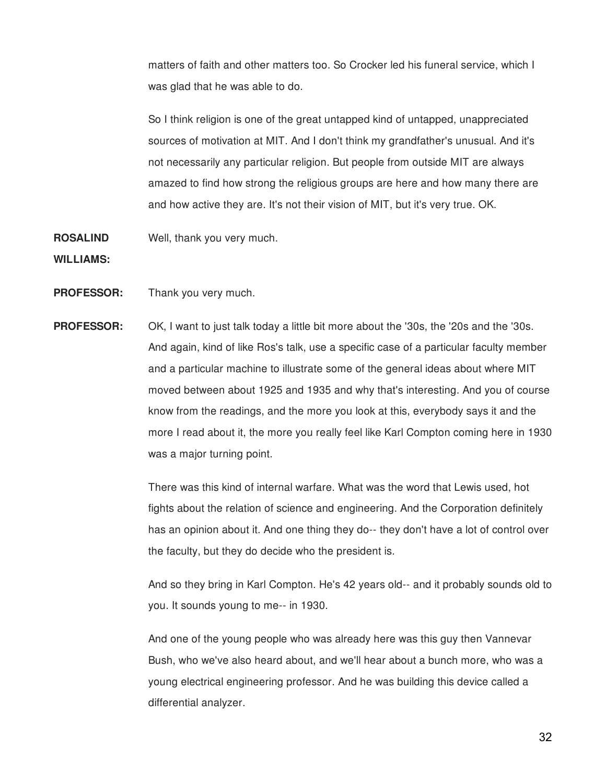matters of faith and other matters too. So Crocker led his funeral service, which I was glad that he was able to do.

So I think religion is one of the great untapped kind of untapped, unappreciated sources of motivation at MIT. And I don't think my grandfather's unusual. And it's not necessarily any particular religion. But people from outside MIT are always amazed to find how strong the religious groups are here and how many there are and how active they are. It's not their vision of MIT, but it's very true. OK.

**ROSALIND** Well, thank you very much.

**WILLIAMS:**

- **PROFESSOR:** Thank you very much.
- **PROFESSOR:** OK, I want to just talk today a little bit more about the '30s, the '20s and the '30s. And again, kind of like Ros's talk, use a specific case of a particular faculty member and a particular machine to illustrate some of the general ideas about where MIT moved between about 1925 and 1935 and why that's interesting. And you of course know from the readings, and the more you look at this, everybody says it and the more I read about it, the more you really feel like Karl Compton coming here in 1930 was a major turning point.

There was this kind of internal warfare. What was the word that Lewis used, hot fights about the relation of science and engineering. And the Corporation definitely has an opinion about it. And one thing they do-- they don't have a lot of control over the faculty, but they do decide who the president is.

And so they bring in Karl Compton. He's 42 years old-- and it probably sounds old to you. It sounds young to me-- in 1930.

And one of the young people who was already here was this guy then Vannevar Bush, who we've also heard about, and we'll hear about a bunch more, who was a young electrical engineering professor. And he was building this device called a differential analyzer.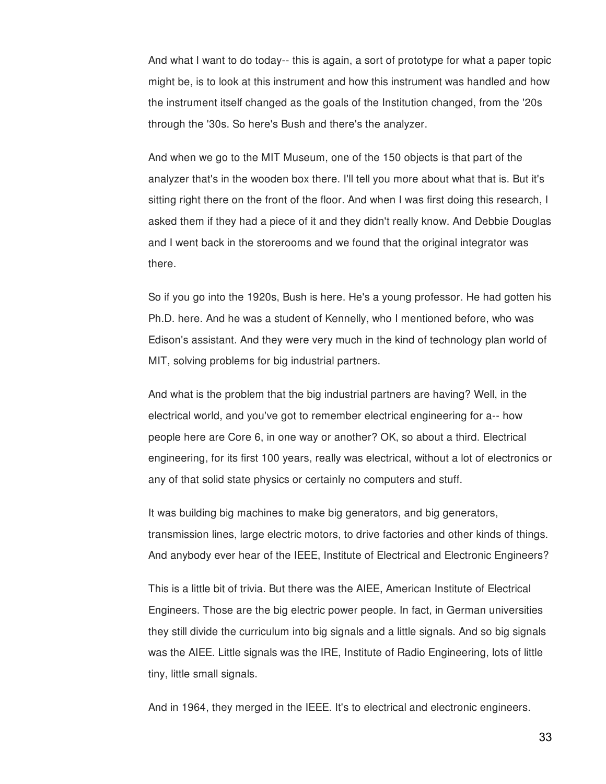And what I want to do today-- this is again, a sort of prototype for what a paper topic might be, is to look at this instrument and how this instrument was handled and how the instrument itself changed as the goals of the Institution changed, from the '20s through the '30s. So here's Bush and there's the analyzer.

And when we go to the MIT Museum, one of the 150 objects is that part of the analyzer that's in the wooden box there. I'll tell you more about what that is. But it's sitting right there on the front of the floor. And when I was first doing this research, I asked them if they had a piece of it and they didn't really know. And Debbie Douglas and I went back in the storerooms and we found that the original integrator was there.

So if you go into the 1920s, Bush is here. He's a young professor. He had gotten his Ph.D. here. And he was a student of Kennelly, who I mentioned before, who was Edison's assistant. And they were very much in the kind of technology plan world of MIT, solving problems for big industrial partners.

And what is the problem that the big industrial partners are having? Well, in the electrical world, and you've got to remember electrical engineering for a-- how people here are Core 6, in one way or another? OK, so about a third. Electrical engineering, for its first 100 years, really was electrical, without a lot of electronics or any of that solid state physics or certainly no computers and stuff.

It was building big machines to make big generators, and big generators, transmission lines, large electric motors, to drive factories and other kinds of things. And anybody ever hear of the IEEE, Institute of Electrical and Electronic Engineers?

This is a little bit of trivia. But there was the AIEE, American Institute of Electrical Engineers. Those are the big electric power people. In fact, in German universities they still divide the curriculum into big signals and a little signals. And so big signals was the AIEE. Little signals was the IRE, Institute of Radio Engineering, lots of little tiny, little small signals.

And in 1964, they merged in the IEEE. It's to electrical and electronic engineers.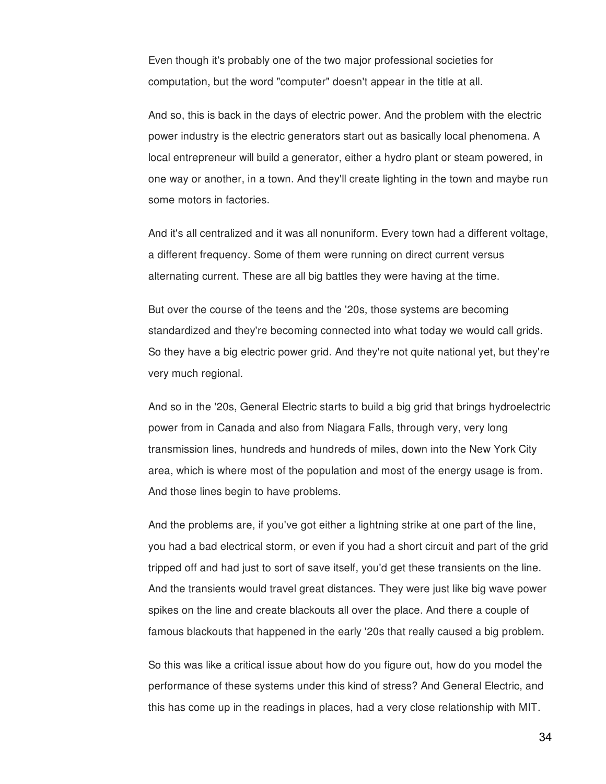Even though it's probably one of the two major professional societies for computation, but the word "computer" doesn't appear in the title at all.

And so, this is back in the days of electric power. And the problem with the electric power industry is the electric generators start out as basically local phenomena. A local entrepreneur will build a generator, either a hydro plant or steam powered, in one way or another, in a town. And they'll create lighting in the town and maybe run some motors in factories.

And it's all centralized and it was all nonuniform. Every town had a different voltage, a different frequency. Some of them were running on direct current versus alternating current. These are all big battles they were having at the time.

But over the course of the teens and the '20s, those systems are becoming standardized and they're becoming connected into what today we would call grids. So they have a big electric power grid. And they're not quite national yet, but they're very much regional.

And so in the '20s, General Electric starts to build a big grid that brings hydroelectric power from in Canada and also from Niagara Falls, through very, very long transmission lines, hundreds and hundreds of miles, down into the New York City area, which is where most of the population and most of the energy usage is from. And those lines begin to have problems.

And the problems are, if you've got either a lightning strike at one part of the line, you had a bad electrical storm, or even if you had a short circuit and part of the grid tripped off and had just to sort of save itself, you'd get these transients on the line. And the transients would travel great distances. They were just like big wave power spikes on the line and create blackouts all over the place. And there a couple of famous blackouts that happened in the early '20s that really caused a big problem.

So this was like a critical issue about how do you figure out, how do you model the performance of these systems under this kind of stress? And General Electric, and this has come up in the readings in places, had a very close relationship with MIT.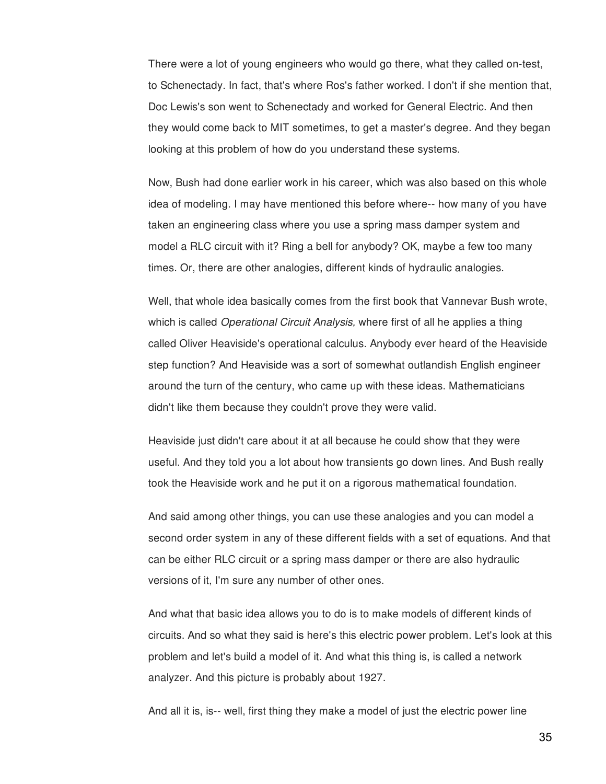There were a lot of young engineers who would go there, what they called on-test, to Schenectady. In fact, that's where Ros's father worked. I don't if she mention that, Doc Lewis's son went to Schenectady and worked for General Electric. And then they would come back to MIT sometimes, to get a master's degree. And they began looking at this problem of how do you understand these systems.

Now, Bush had done earlier work in his career, which was also based on this whole idea of modeling. I may have mentioned this before where-- how many of you have taken an engineering class where you use a spring mass damper system and model a RLC circuit with it? Ring a bell for anybody? OK, maybe a few too many times. Or, there are other analogies, different kinds of hydraulic analogies.

Well, that whole idea basically comes from the first book that Vannevar Bush wrote, which is called *Operational Circuit Analysis,* where first of all he applies a thing called Oliver Heaviside's operational calculus. Anybody ever heard of the Heaviside step function? And Heaviside was a sort of somewhat outlandish English engineer around the turn of the century, who came up with these ideas. Mathematicians didn't like them because they couldn't prove they were valid.

Heaviside just didn't care about it at all because he could show that they were useful. And they told you a lot about how transients go down lines. And Bush really took the Heaviside work and he put it on a rigorous mathematical foundation.

And said among other things, you can use these analogies and you can model a second order system in any of these different fields with a set of equations. And that can be either RLC circuit or a spring mass damper or there are also hydraulic versions of it, I'm sure any number of other ones.

And what that basic idea allows you to do is to make models of different kinds of circuits. And so what they said is here's this electric power problem. Let's look at this problem and let's build a model of it. And what this thing is, is called a network analyzer. And this picture is probably about 1927.

And all it is, is-- well, first thing they make a model of just the electric power line

35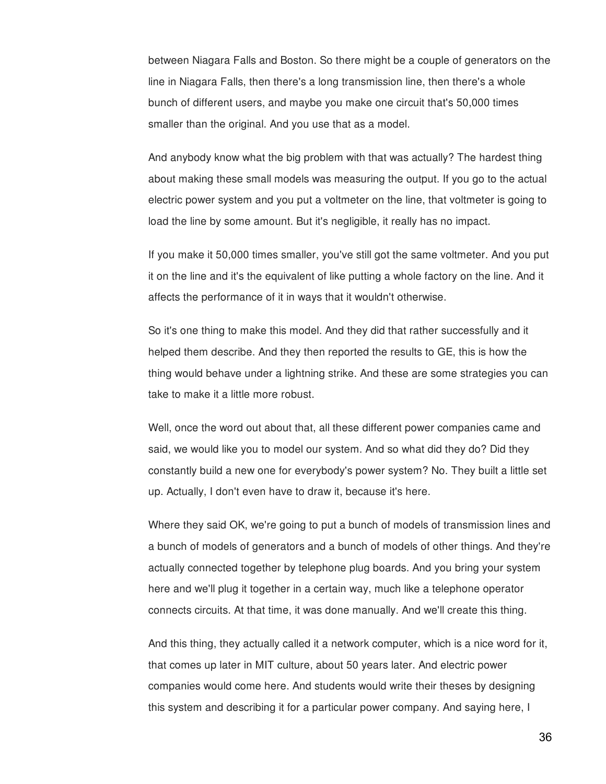between Niagara Falls and Boston. So there might be a couple of generators on the line in Niagara Falls, then there's a long transmission line, then there's a whole bunch of different users, and maybe you make one circuit that's 50,000 times smaller than the original. And you use that as a model.

And anybody know what the big problem with that was actually? The hardest thing about making these small models was measuring the output. If you go to the actual electric power system and you put a voltmeter on the line, that voltmeter is going to load the line by some amount. But it's negligible, it really has no impact.

If you make it 50,000 times smaller, you've still got the same voltmeter. And you put it on the line and it's the equivalent of like putting a whole factory on the line. And it affects the performance of it in ways that it wouldn't otherwise.

So it's one thing to make this model. And they did that rather successfully and it helped them describe. And they then reported the results to GE, this is how the thing would behave under a lightning strike. And these are some strategies you can take to make it a little more robust.

Well, once the word out about that, all these different power companies came and said, we would like you to model our system. And so what did they do? Did they constantly build a new one for everybody's power system? No. They built a little set up. Actually, I don't even have to draw it, because it's here.

Where they said OK, we're going to put a bunch of models of transmission lines and a bunch of models of generators and a bunch of models of other things. And they're actually connected together by telephone plug boards. And you bring your system here and we'll plug it together in a certain way, much like a telephone operator connects circuits. At that time, it was done manually. And we'll create this thing.

And this thing, they actually called it a network computer, which is a nice word for it, that comes up later in MIT culture, about 50 years later. And electric power companies would come here. And students would write their theses by designing this system and describing it for a particular power company. And saying here, I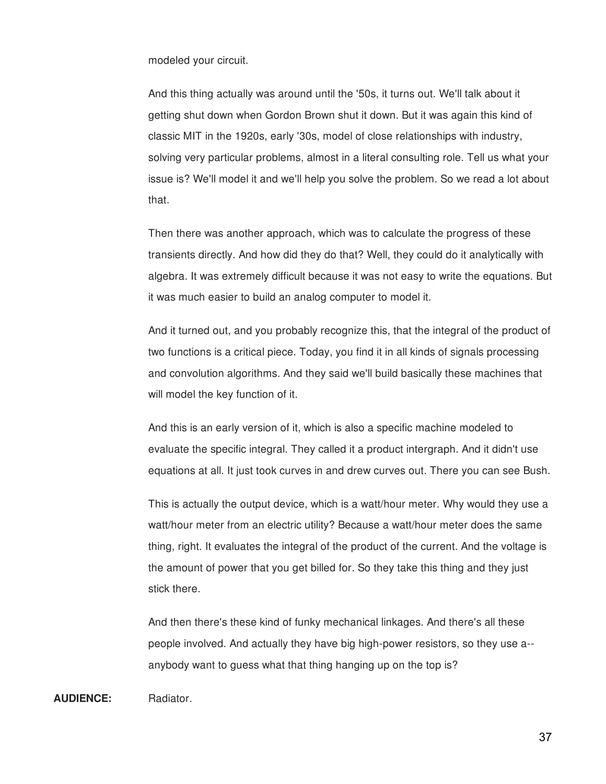modeled your circuit.

And this thing actually was around until the '50s, it turns out. We'll talk about it getting shut down when Gordon Brown shut it down. But it was again this kind of classic MIT in the 1920s, early '30s, model of close relationships with industry, solving very particular problems, almost in a literal consulting role. Tell us what your issue is? We'll model it and we'll help you solve the problem. So we read a lot about that.

Then there was another approach, which was to calculate the progress of these transients directly. And how did they do that? Well, they could do it analytically with algebra. It was extremely difficult because it was not easy to write the equations. But it was much easier to build an analog computer to model it.

And it turned out, and you probably recognize this, that the integral of the product of two functions is a critical piece. Today, you find it in all kinds of signals processing and convolution algorithms. And they said we'll build basically these machines that will model the key function of it.

And this is an early version of it, which is also a specific machine modeled to evaluate the specific integral. They called it a product intergraph. And it didn't use equations at all. It just took curves in and drew curves out. There you can see Bush.

This is actually the output device, which is a watt/hour meter. Why would they use a watt/hour meter from an electric utility? Because a watt/hour meter does the same thing, right. It evaluates the integral of the product of the current. And the voltage is the amount of power that you get billed for. So they take this thing and they just stick there.

And then there's these kind of funky mechanical linkages. And there's all these people involved. And actually they have big high-power resistors, so they use a- anybody want to guess what that thing hanging up on the top is?

**AUDIENCE:** Radiator.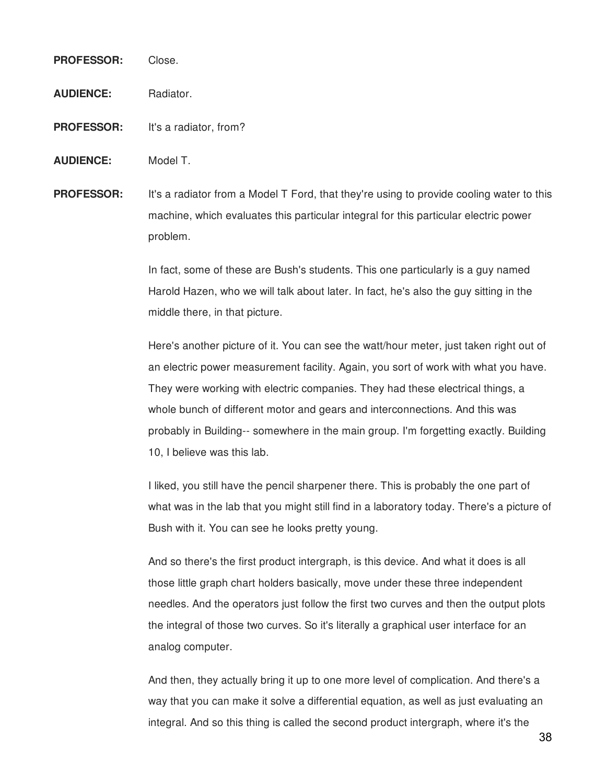# **PROFESSOR:** Close.

**AUDIENCE:** Radiator.

- **PROFESSOR:** It's a radiator, from?
- **AUDIENCE:** Model T.

**PROFESSOR:** It's a radiator from a Model T Ford, that they're using to provide cooling water to this machine, which evaluates this particular integral for this particular electric power problem.

> In fact, some of these are Bush's students. This one particularly is a guy named Harold Hazen, who we will talk about later. In fact, he's also the guy sitting in the middle there, in that picture.

Here's another picture of it. You can see the watt/hour meter, just taken right out of an electric power measurement facility. Again, you sort of work with what you have. They were working with electric companies. They had these electrical things, a whole bunch of different motor and gears and interconnections. And this was probably in Building-- somewhere in the main group. I'm forgetting exactly. Building 10, I believe was this lab.

I liked, you still have the pencil sharpener there. This is probably the one part of what was in the lab that you might still find in a laboratory today. There's a picture of Bush with it. You can see he looks pretty young.

And so there's the first product intergraph, is this device. And what it does is all those little graph chart holders basically, move under these three independent needles. And the operators just follow the first two curves and then the output plots the integral of those two curves. So it's literally a graphical user interface for an analog computer.

And then, they actually bring it up to one more level of complication. And there's a way that you can make it solve a differential equation, as well as just evaluating an integral. And so this thing is called the second product intergraph, where it's the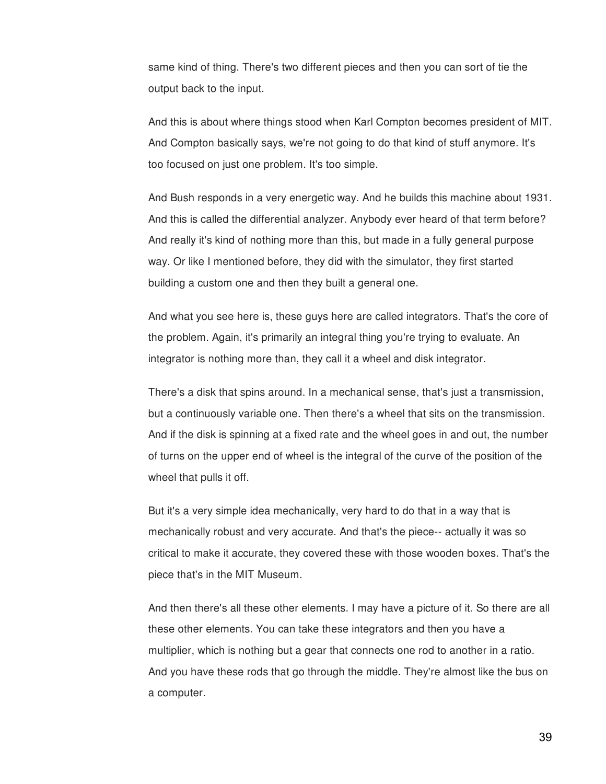same kind of thing. There's two different pieces and then you can sort of tie the output back to the input.

And this is about where things stood when Karl Compton becomes president of MIT. And Compton basically says, we're not going to do that kind of stuff anymore. It's too focused on just one problem. It's too simple.

And Bush responds in a very energetic way. And he builds this machine about 1931. And this is called the differential analyzer. Anybody ever heard of that term before? And really it's kind of nothing more than this, but made in a fully general purpose way. Or like I mentioned before, they did with the simulator, they first started building a custom one and then they built a general one.

And what you see here is, these guys here are called integrators. That's the core of the problem. Again, it's primarily an integral thing you're trying to evaluate. An integrator is nothing more than, they call it a wheel and disk integrator.

There's a disk that spins around. In a mechanical sense, that's just a transmission, but a continuously variable one. Then there's a wheel that sits on the transmission. And if the disk is spinning at a fixed rate and the wheel goes in and out, the number of turns on the upper end of wheel is the integral of the curve of the position of the wheel that pulls it off.

But it's a very simple idea mechanically, very hard to do that in a way that is mechanically robust and very accurate. And that's the piece-- actually it was so critical to make it accurate, they covered these with those wooden boxes. That's the piece that's in the MIT Museum.

And then there's all these other elements. I may have a picture of it. So there are all these other elements. You can take these integrators and then you have a multiplier, which is nothing but a gear that connects one rod to another in a ratio. And you have these rods that go through the middle. They're almost like the bus on a computer.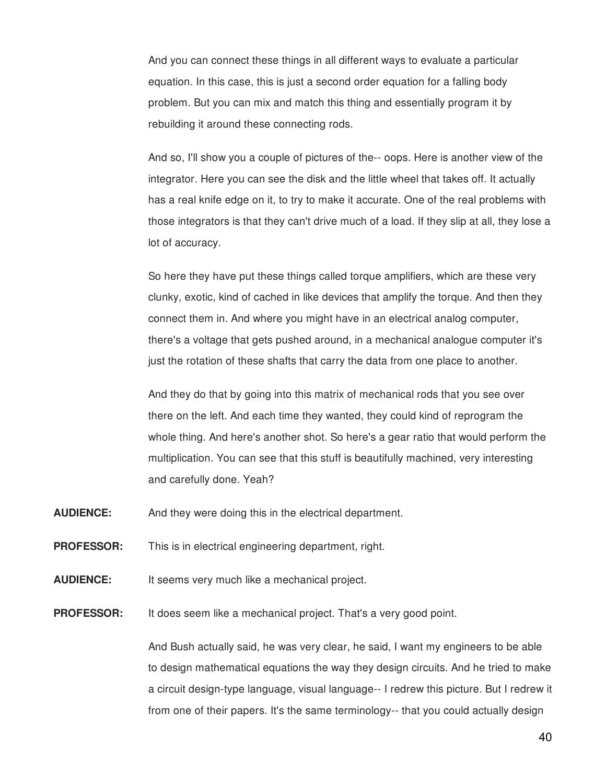And you can connect these things in all different ways to evaluate a particular equation. In this case, this is just a second order equation for a falling body problem. But you can mix and match this thing and essentially program it by rebuilding it around these connecting rods.

And so, I'll show you a couple of pictures of the-- oops. Here is another view of the integrator. Here you can see the disk and the little wheel that takes off. It actually has a real knife edge on it, to try to make it accurate. One of the real problems with those integrators is that they can't drive much of a load. If they slip at all, they lose a lot of accuracy.

So here they have put these things called torque amplifiers, which are these very clunky, exotic, kind of cached in like devices that amplify the torque. And then they connect them in. And where you might have in an electrical analog computer, there's a voltage that gets pushed around, in a mechanical analogue computer it's just the rotation of these shafts that carry the data from one place to another.

And they do that by going into this matrix of mechanical rods that you see over there on the left. And each time they wanted, they could kind of reprogram the whole thing. And here's another shot. So here's a gear ratio that would perform the multiplication. You can see that this stuff is beautifully machined, very interesting and carefully done. Yeah?

- **AUDIENCE:** And they were doing this in the electrical department.
- **PROFESSOR:** This is in electrical engineering department, right.
- **AUDIENCE:** It seems very much like a mechanical project.

**PROFESSOR:** It does seem like a mechanical project. That's a very good point.

And Bush actually said, he was very clear, he said, I want my engineers to be able to design mathematical equations the way they design circuits. And he tried to make a circuit design-type language, visual language-- I redrew this picture. But I redrew it from one of their papers. It's the same terminology-- that you could actually design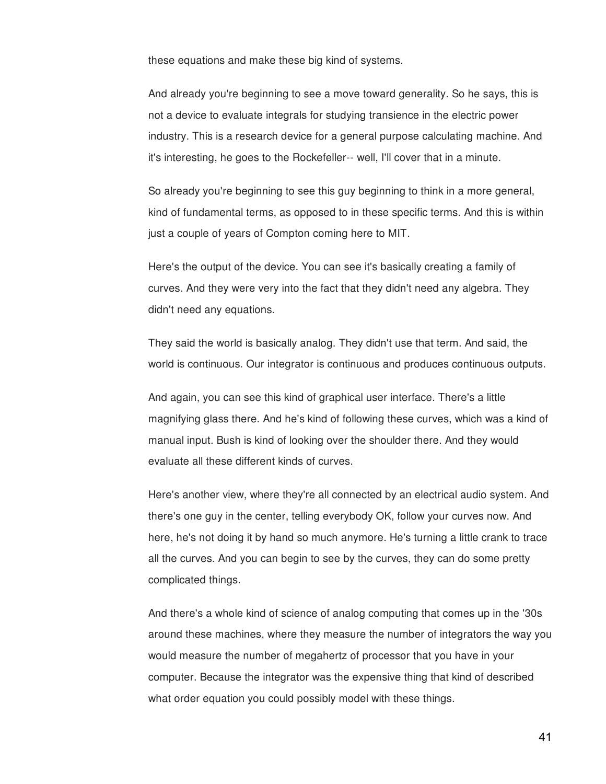these equations and make these big kind of systems.

And already you're beginning to see a move toward generality. So he says, this is not a device to evaluate integrals for studying transience in the electric power industry. This is a research device for a general purpose calculating machine. And it's interesting, he goes to the Rockefeller-- well, I'll cover that in a minute.

So already you're beginning to see this guy beginning to think in a more general, kind of fundamental terms, as opposed to in these specific terms. And this is within just a couple of years of Compton coming here to MIT.

Here's the output of the device. You can see it's basically creating a family of curves. And they were very into the fact that they didn't need any algebra. They didn't need any equations.

They said the world is basically analog. They didn't use that term. And said, the world is continuous. Our integrator is continuous and produces continuous outputs.

And again, you can see this kind of graphical user interface. There's a little magnifying glass there. And he's kind of following these curves, which was a kind of manual input. Bush is kind of looking over the shoulder there. And they would evaluate all these different kinds of curves.

Here's another view, where they're all connected by an electrical audio system. And there's one guy in the center, telling everybody OK, follow your curves now. And here, he's not doing it by hand so much anymore. He's turning a little crank to trace all the curves. And you can begin to see by the curves, they can do some pretty complicated things.

And there's a whole kind of science of analog computing that comes up in the '30s around these machines, where they measure the number of integrators the way you would measure the number of megahertz of processor that you have in your computer. Because the integrator was the expensive thing that kind of described what order equation you could possibly model with these things.

41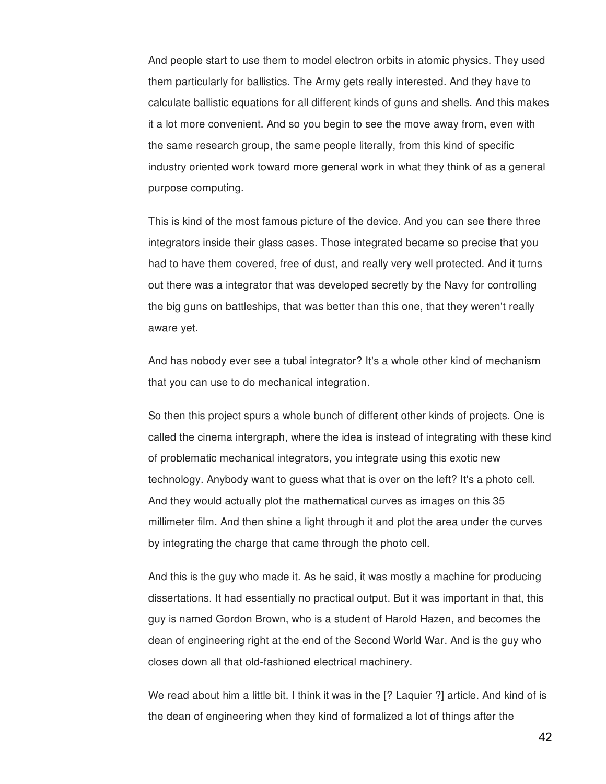And people start to use them to model electron orbits in atomic physics. They used them particularly for ballistics. The Army gets really interested. And they have to calculate ballistic equations for all different kinds of guns and shells. And this makes it a lot more convenient. And so you begin to see the move away from, even with the same research group, the same people literally, from this kind of specific industry oriented work toward more general work in what they think of as a general purpose computing.

This is kind of the most famous picture of the device. And you can see there three integrators inside their glass cases. Those integrated became so precise that you had to have them covered, free of dust, and really very well protected. And it turns out there was a integrator that was developed secretly by the Navy for controlling the big guns on battleships, that was better than this one, that they weren't really aware yet.

And has nobody ever see a tubal integrator? It's a whole other kind of mechanism that you can use to do mechanical integration.

So then this project spurs a whole bunch of different other kinds of projects. One is called the cinema intergraph, where the idea is instead of integrating with these kind of problematic mechanical integrators, you integrate using this exotic new technology. Anybody want to guess what that is over on the left? It's a photo cell. And they would actually plot the mathematical curves as images on this 35 millimeter film. And then shine a light through it and plot the area under the curves by integrating the charge that came through the photo cell.

And this is the guy who made it. As he said, it was mostly a machine for producing dissertations. It had essentially no practical output. But it was important in that, this guy is named Gordon Brown, who is a student of Harold Hazen, and becomes the dean of engineering right at the end of the Second World War. And is the guy who closes down all that old-fashioned electrical machinery.

We read about him a little bit. I think it was in the [? Laquier ?] article. And kind of is the dean of engineering when they kind of formalized a lot of things after the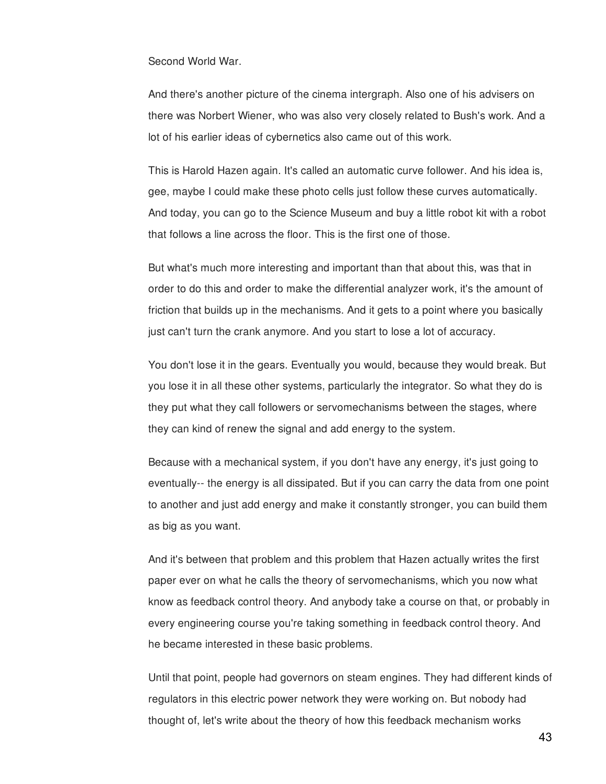Second World War.

And there's another picture of the cinema intergraph. Also one of his advisers on there was Norbert Wiener, who was also very closely related to Bush's work. And a lot of his earlier ideas of cybernetics also came out of this work.

This is Harold Hazen again. It's called an automatic curve follower. And his idea is, gee, maybe I could make these photo cells just follow these curves automatically. And today, you can go to the Science Museum and buy a little robot kit with a robot that follows a line across the floor. This is the first one of those.

But what's much more interesting and important than that about this, was that in order to do this and order to make the differential analyzer work, it's the amount of friction that builds up in the mechanisms. And it gets to a point where you basically just can't turn the crank anymore. And you start to lose a lot of accuracy.

You don't lose it in the gears. Eventually you would, because they would break. But you lose it in all these other systems, particularly the integrator. So what they do is they put what they call followers or servomechanisms between the stages, where they can kind of renew the signal and add energy to the system.

Because with a mechanical system, if you don't have any energy, it's just going to eventually-- the energy is all dissipated. But if you can carry the data from one point to another and just add energy and make it constantly stronger, you can build them as big as you want.

And it's between that problem and this problem that Hazen actually writes the first paper ever on what he calls the theory of servomechanisms, which you now what know as feedback control theory. And anybody take a course on that, or probably in every engineering course you're taking something in feedback control theory. And he became interested in these basic problems.

Until that point, people had governors on steam engines. They had different kinds of regulators in this electric power network they were working on. But nobody had thought of, let's write about the theory of how this feedback mechanism works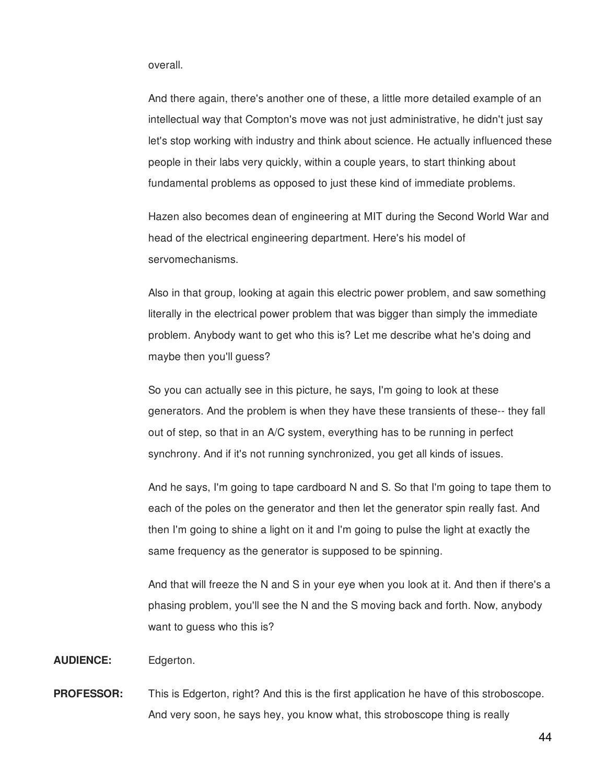## overall.

And there again, there's another one of these, a little more detailed example of an intellectual way that Compton's move was not just administrative, he didn't just say let's stop working with industry and think about science. He actually influenced these people in their labs very quickly, within a couple years, to start thinking about fundamental problems as opposed to just these kind of immediate problems.

Hazen also becomes dean of engineering at MIT during the Second World War and head of the electrical engineering department. Here's his model of servomechanisms.

Also in that group, looking at again this electric power problem, and saw something literally in the electrical power problem that was bigger than simply the immediate problem. Anybody want to get who this is? Let me describe what he's doing and maybe then you'll guess?

So you can actually see in this picture, he says, I'm going to look at these generators. And the problem is when they have these transients of these-- they fall out of step, so that in an A/C system, everything has to be running in perfect synchrony. And if it's not running synchronized, you get all kinds of issues.

And he says, I'm going to tape cardboard N and S. So that I'm going to tape them to each of the poles on the generator and then let the generator spin really fast. And then I'm going to shine a light on it and I'm going to pulse the light at exactly the same frequency as the generator is supposed to be spinning.

And that will freeze the N and S in your eye when you look at it. And then if there's a phasing problem, you'll see the N and the S moving back and forth. Now, anybody want to quess who this is?

**AUDIENCE:** Edgerton.

**PROFESSOR:** This is Edgerton, right? And this is the first application he have of this stroboscope. And very soon, he says hey, you know what, this stroboscope thing is really

44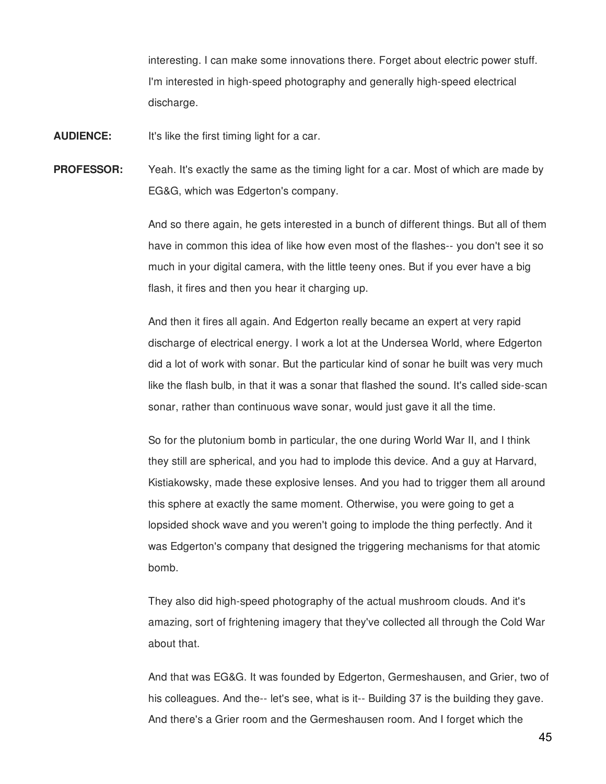interesting. I can make some innovations there. Forget about electric power stuff. I'm interested in high-speed photography and generally high-speed electrical discharge.

**AUDIENCE:** It's like the first timing light for a car.

**PROFESSOR:** Yeah. It's exactly the same as the timing light for a car. Most of which are made by EG&G, which was Edgerton's company.

> And so there again, he gets interested in a bunch of different things. But all of them have in common this idea of like how even most of the flashes-- you don't see it so much in your digital camera, with the little teeny ones. But if you ever have a big flash, it fires and then you hear it charging up.

> And then it fires all again. And Edgerton really became an expert at very rapid discharge of electrical energy. I work a lot at the Undersea World, where Edgerton did a lot of work with sonar. But the particular kind of sonar he built was very much like the flash bulb, in that it was a sonar that flashed the sound. It's called side-scan sonar, rather than continuous wave sonar, would just gave it all the time.

> So for the plutonium bomb in particular, the one during World War II, and I think they still are spherical, and you had to implode this device. And a guy at Harvard, Kistiakowsky, made these explosive lenses. And you had to trigger them all around this sphere at exactly the same moment. Otherwise, you were going to get a lopsided shock wave and you weren't going to implode the thing perfectly. And it was Edgerton's company that designed the triggering mechanisms for that atomic bomb.

> They also did high-speed photography of the actual mushroom clouds. And it's amazing, sort of frightening imagery that they've collected all through the Cold War about that.

And that was EG&G. It was founded by Edgerton, Germeshausen, and Grier, two of his colleagues. And the-- let's see, what is it-- Building 37 is the building they gave. And there's a Grier room and the Germeshausen room. And I forget which the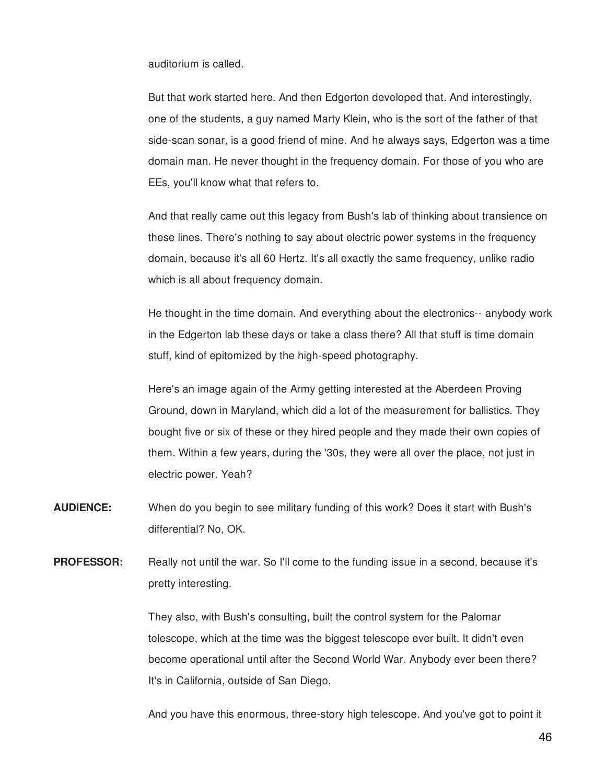auditorium is called.

But that work started here. And then Edgerton developed that. And interestingly, one of the students, a guy named Marty Klein, who is the sort of the father of that side-scan sonar, is a good friend of mine. And he always says, Edgerton was a time domain man. He never thought in the frequency domain. For those of you who are EEs, you'll know what that refers to.

And that really came out this legacy from Bush's lab of thinking about transience on these lines. There's nothing to say about electric power systems in the frequency domain, because it's all 60 Hertz. It's all exactly the same frequency, unlike radio which is all about frequency domain.

He thought in the time domain. And everything about the electronics-- anybody work in the Edgerton lab these days or take a class there? All that stuff is time domain stuff, kind of epitomized by the high-speed photography.

Here's an image again of the Army getting interested at the Aberdeen Proving Ground, down in Maryland, which did a lot of the measurement for ballistics. They bought five or six of these or they hired people and they made their own copies of them. Within a few years, during the '30s, they were all over the place, not just in electric power. Yeah?

- **AUDIENCE:** When do you begin to see military funding of this work? Does it start with Bush's differential? No, OK.
- **PROFESSOR:** Really not until the war. So I'll come to the funding issue in a second, because it's pretty interesting.

They also, with Bush's consulting, built the control system for the Palomar telescope, which at the time was the biggest telescope ever built. It didn't even become operational until after the Second World War. Anybody ever been there? It's in California, outside of San Diego.

And you have this enormous, three-story high telescope. And you've got to point it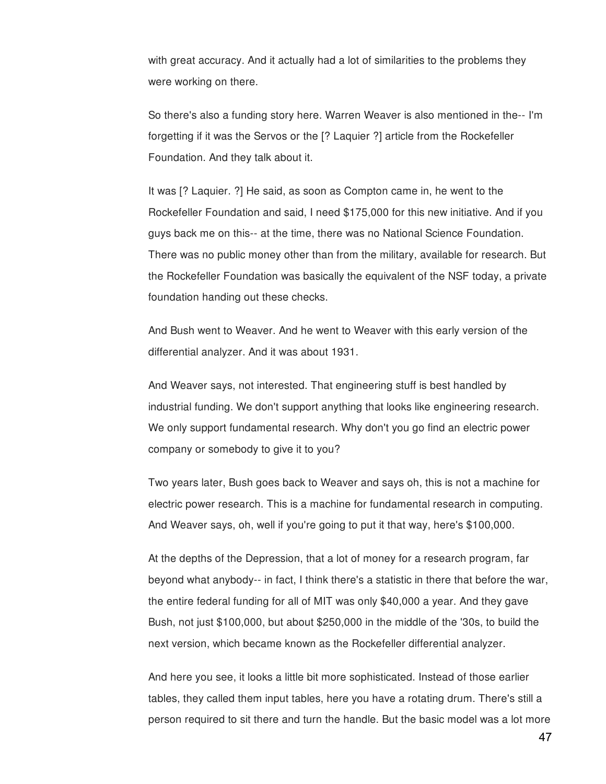with great accuracy. And it actually had a lot of similarities to the problems they were working on there.

So there's also a funding story here. Warren Weaver is also mentioned in the-- I'm forgetting if it was the Servos or the [? Laquier ?] article from the Rockefeller Foundation. And they talk about it.

It was [? Laquier. ?] He said, as soon as Compton came in, he went to the Rockefeller Foundation and said, I need \$175,000 for this new initiative. And if you guys back me on this-- at the time, there was no National Science Foundation. There was no public money other than from the military, available for research. But the Rockefeller Foundation was basically the equivalent of the NSF today, a private foundation handing out these checks.

And Bush went to Weaver. And he went to Weaver with this early version of the differential analyzer. And it was about 1931.

And Weaver says, not interested. That engineering stuff is best handled by industrial funding. We don't support anything that looks like engineering research. We only support fundamental research. Why don't you go find an electric power company or somebody to give it to you?

Two years later, Bush goes back to Weaver and says oh, this is not a machine for electric power research. This is a machine for fundamental research in computing. And Weaver says, oh, well if you're going to put it that way, here's \$100,000.

At the depths of the Depression, that a lot of money for a research program, far beyond what anybody-- in fact, I think there's a statistic in there that before the war, the entire federal funding for all of MIT was only \$40,000 a year. And they gave Bush, not just \$100,000, but about \$250,000 in the middle of the '30s, to build the next version, which became known as the Rockefeller differential analyzer.

And here you see, it looks a little bit more sophisticated. Instead of those earlier tables, they called them input tables, here you have a rotating drum. There's still a person required to sit there and turn the handle. But the basic model was a lot more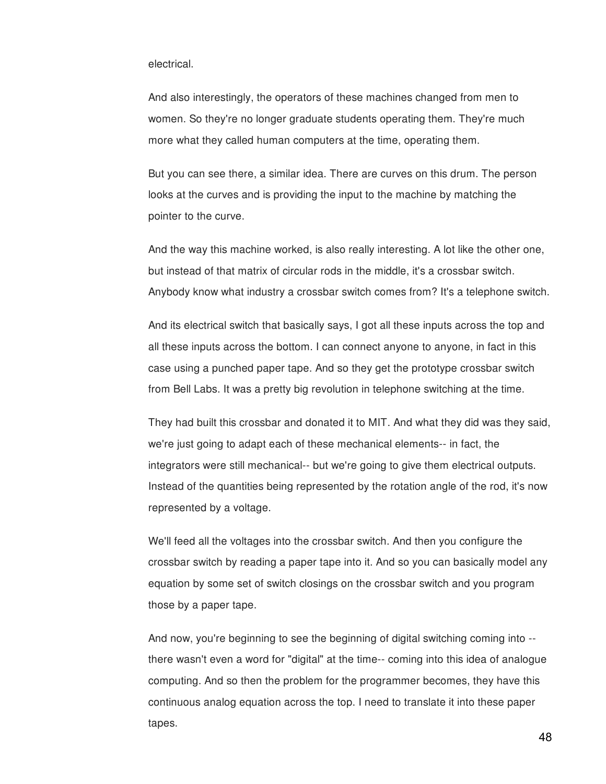# electrical.

And also interestingly, the operators of these machines changed from men to women. So they're no longer graduate students operating them. They're much more what they called human computers at the time, operating them.

But you can see there, a similar idea. There are curves on this drum. The person looks at the curves and is providing the input to the machine by matching the pointer to the curve.

And the way this machine worked, is also really interesting. A lot like the other one, but instead of that matrix of circular rods in the middle, it's a crossbar switch. Anybody know what industry a crossbar switch comes from? It's a telephone switch.

And its electrical switch that basically says, I got all these inputs across the top and all these inputs across the bottom. I can connect anyone to anyone, in fact in this case using a punched paper tape. And so they get the prototype crossbar switch from Bell Labs. It was a pretty big revolution in telephone switching at the time.

They had built this crossbar and donated it to MIT. And what they did was they said, we're just going to adapt each of these mechanical elements-- in fact, the integrators were still mechanical-- but we're going to give them electrical outputs. Instead of the quantities being represented by the rotation angle of the rod, it's now represented by a voltage.

We'll feed all the voltages into the crossbar switch. And then you configure the crossbar switch by reading a paper tape into it. And so you can basically model any equation by some set of switch closings on the crossbar switch and you program those by a paper tape.

And now, you're beginning to see the beginning of digital switching coming into - there wasn't even a word for "digital" at the time-- coming into this idea of analogue computing. And so then the problem for the programmer becomes, they have this continuous analog equation across the top. I need to translate it into these paper tapes.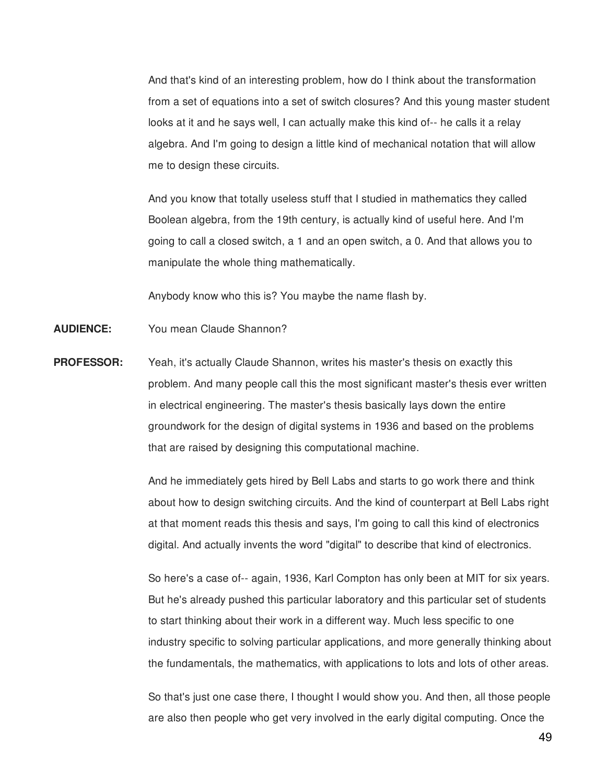And that's kind of an interesting problem, how do I think about the transformation from a set of equations into a set of switch closures? And this young master student looks at it and he says well, I can actually make this kind of-- he calls it a relay algebra. And I'm going to design a little kind of mechanical notation that will allow me to design these circuits.

And you know that totally useless stuff that I studied in mathematics they called Boolean algebra, from the 19th century, is actually kind of useful here. And I'm going to call a closed switch, a 1 and an open switch, a 0. And that allows you to manipulate the whole thing mathematically.

Anybody know who this is? You maybe the name flash by.

**AUDIENCE:** You mean Claude Shannon?

**PROFESSOR:** Yeah, it's actually Claude Shannon, writes his master's thesis on exactly this problem. And many people call this the most significant master's thesis ever written in electrical engineering. The master's thesis basically lays down the entire groundwork for the design of digital systems in 1936 and based on the problems that are raised by designing this computational machine.

> And he immediately gets hired by Bell Labs and starts to go work there and think about how to design switching circuits. And the kind of counterpart at Bell Labs right at that moment reads this thesis and says, I'm going to call this kind of electronics digital. And actually invents the word "digital" to describe that kind of electronics.

> So here's a case of-- again, 1936, Karl Compton has only been at MIT for six years. But he's already pushed this particular laboratory and this particular set of students to start thinking about their work in a different way. Much less specific to one industry specific to solving particular applications, and more generally thinking about the fundamentals, the mathematics, with applications to lots and lots of other areas.

> So that's just one case there, I thought I would show you. And then, all those people are also then people who get very involved in the early digital computing. Once the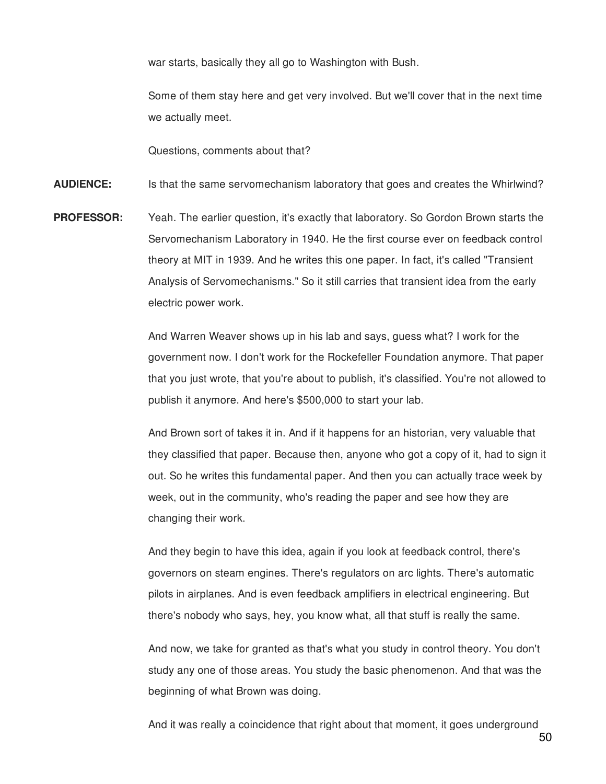war starts, basically they all go to Washington with Bush.

Some of them stay here and get very involved. But we'll cover that in the next time we actually meet.

Questions, comments about that?

**AUDIENCE:** Is that the same servomechanism laboratory that goes and creates the Whirlwind?

**PROFESSOR:** Yeah. The earlier question, it's exactly that laboratory. So Gordon Brown starts the Servomechanism Laboratory in 1940. He the first course ever on feedback control theory at MIT in 1939. And he writes this one paper. In fact, it's called "Transient Analysis of Servomechanisms." So it still carries that transient idea from the early electric power work.

> And Warren Weaver shows up in his lab and says, guess what? I work for the government now. I don't work for the Rockefeller Foundation anymore. That paper that you just wrote, that you're about to publish, it's classified. You're not allowed to publish it anymore. And here's \$500,000 to start your lab.

> And Brown sort of takes it in. And if it happens for an historian, very valuable that they classified that paper. Because then, anyone who got a copy of it, had to sign it out. So he writes this fundamental paper. And then you can actually trace week by week, out in the community, who's reading the paper and see how they are changing their work.

And they begin to have this idea, again if you look at feedback control, there's governors on steam engines. There's regulators on arc lights. There's automatic pilots in airplanes. And is even feedback amplifiers in electrical engineering. But there's nobody who says, hey, you know what, all that stuff is really the same.

And now, we take for granted as that's what you study in control theory. You don't study any one of those areas. You study the basic phenomenon. And that was the beginning of what Brown was doing.

And it was really a coincidence that right about that moment, it goes underground